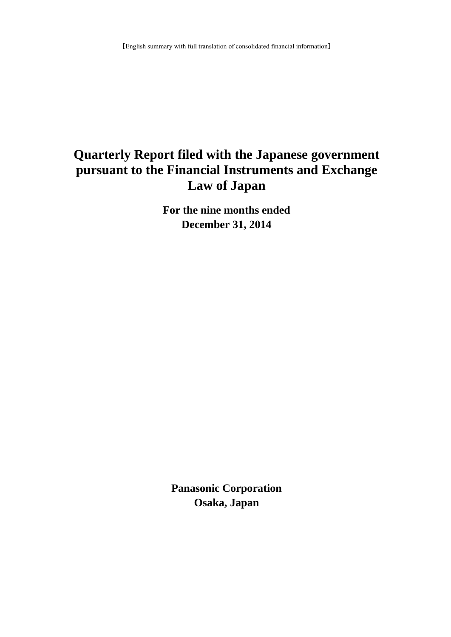# **Quarterly Report filed with the Japanese government pursuant to the Financial Instruments and Exchange Law of Japan**

**For the nine months ended December 31, 2014**

**Panasonic Corporation Osaka, Japan**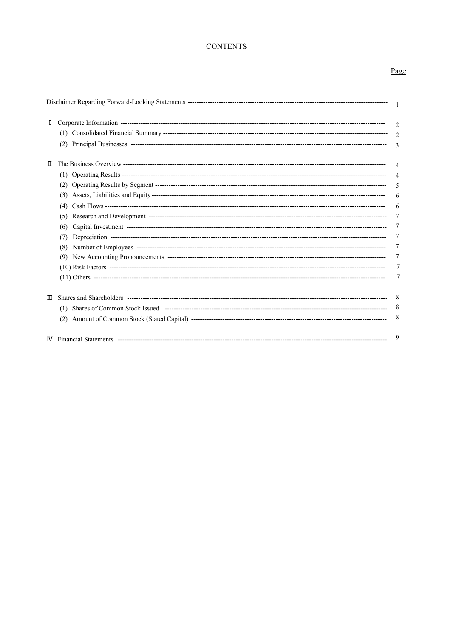# **CONTENTS**

# Page

| Ι. |                          | $\overline{c}$<br>$\mathfrak{D}$<br>3               |
|----|--------------------------|-----------------------------------------------------|
| П  | (3)<br>(6)<br>(7)<br>(8) | 4<br>5<br>6<br>6<br>7<br>7<br>7<br>7<br>7<br>7<br>7 |
| Ш  |                          | - 8<br>-8<br>8                                      |
|    |                          | 9                                                   |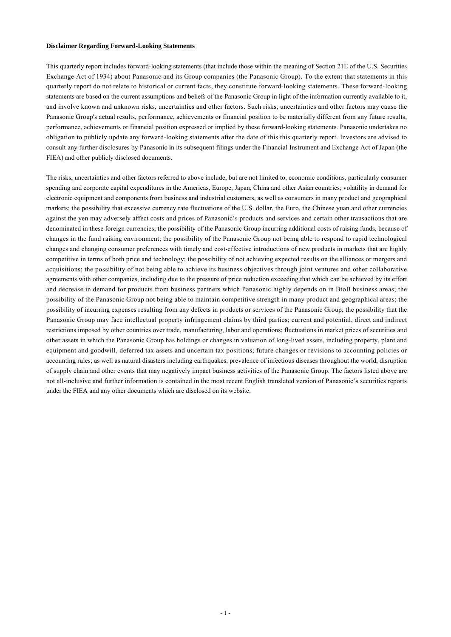#### **Disclaimer Regarding Forward-Looking Statements**

This quarterly report includes forward-looking statements (that include those within the meaning of Section 21E of the U.S. Securities Exchange Act of 1934) about Panasonic and its Group companies (the Panasonic Group). To the extent that statements in this quarterly report do not relate to historical or current facts, they constitute forward-looking statements. These forward-looking statements are based on the current assumptions and beliefs of the Panasonic Group in light of the information currently available to it, and involve known and unknown risks, uncertainties and other factors. Such risks, uncertainties and other factors may cause the Panasonic Group's actual results, performance, achievements or financial position to be materially different from any future results, performance, achievements or financial position expressed or implied by these forward-looking statements. Panasonic undertakes no obligation to publicly update any forward-looking statements after the date of this this quarterly report. Investors are advised to consult any further disclosures by Panasonic in its subsequent filings under the Financial Instrument and Exchange Act of Japan (the FIEA) and other publicly disclosed documents.

The risks, uncertainties and other factors referred to above include, but are not limited to, economic conditions, particularly consumer spending and corporate capital expenditures in the Americas, Europe, Japan, China and other Asian countries; volatility in demand for electronic equipment and components from business and industrial customers, as well as consumers in many product and geographical markets; the possibility that excessive currency rate fluctuations of the U.S. dollar, the Euro, the Chinese yuan and other currencies against the yen may adversely affect costs and prices of Panasonic's products and services and certain other transactions that are denominated in these foreign currencies; the possibility of the Panasonic Group incurring additional costs of raising funds, because of changes in the fund raising environment; the possibility of the Panasonic Group not being able to respond to rapid technological changes and changing consumer preferences with timely and cost-effective introductions of new products in markets that are highly competitive in terms of both price and technology; the possibility of not achieving expected results on the alliances or mergers and acquisitions; the possibility of not being able to achieve its business objectives through joint ventures and other collaborative agreements with other companies, including due to the pressure of price reduction exceeding that which can be achieved by its effort and decrease in demand for products from business partners which Panasonic highly depends on in BtoB business areas; the possibility of the Panasonic Group not being able to maintain competitive strength in many product and geographical areas; the possibility of incurring expenses resulting from any defects in products or services of the Panasonic Group; the possibility that the Panasonic Group may face intellectual property infringement claims by third parties; current and potential, direct and indirect restrictions imposed by other countries over trade, manufacturing, labor and operations; fluctuations in market prices of securities and other assets in which the Panasonic Group has holdings or changes in valuation of long-lived assets, including property, plant and equipment and goodwill, deferred tax assets and uncertain tax positions; future changes or revisions to accounting policies or accounting rules; as well as natural disasters including earthquakes, prevalence of infectious diseases throughout the world, disruption of supply chain and other events that may negatively impact business activities of the Panasonic Group. The factors listed above are not all-inclusive and further information is contained in the most recent English translated version of Panasonic's securities reports under the FIEA and any other documents which are disclosed on its website.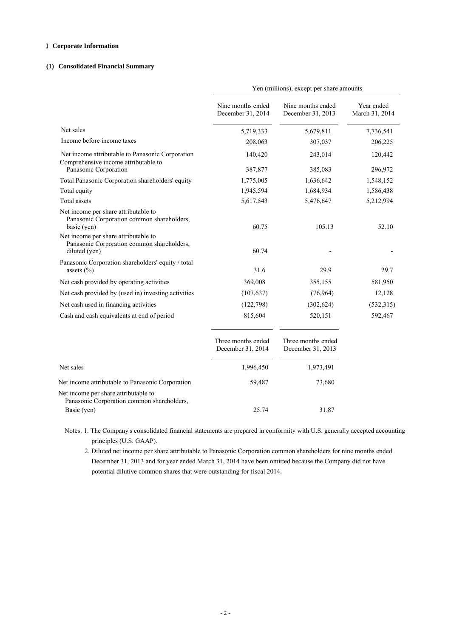# I **Corporate Information**

# **(1) Consolidated Financial Summary**

|                                                                                                     | Yen (millions), except per share amounts |                                         |                              |
|-----------------------------------------------------------------------------------------------------|------------------------------------------|-----------------------------------------|------------------------------|
|                                                                                                     | Nine months ended<br>December 31, 2014   | Nine months ended<br>December 31, 2013  | Year ended<br>March 31, 2014 |
| Net sales                                                                                           | 5,719,333                                | 5,679,811                               | 7,736,541                    |
| Income before income taxes                                                                          | 208,063                                  | 307,037                                 | 206,225                      |
| Net income attributable to Panasonic Corporation<br>Comprehensive income attributable to            | 140,420                                  | 243,014                                 | 120,442                      |
| Panasonic Corporation                                                                               | 387,877                                  | 385,083                                 | 296,972                      |
| Total Panasonic Corporation shareholders' equity                                                    | 1,775,005                                | 1,636,642                               | 1,548,152                    |
| Total equity<br><b>Total</b> assets                                                                 | 1,945,594<br>5,617,543                   | 1,684,934<br>5,476,647                  | 1,586,438<br>5,212,994       |
| Net income per share attributable to<br>Panasonic Corporation common shareholders,<br>basic (yen)   | 60.75                                    | 105.13                                  | 52.10                        |
| Net income per share attributable to<br>Panasonic Corporation common shareholders,<br>diluted (yen) | 60.74                                    |                                         |                              |
| Panasonic Corporation shareholders' equity / total<br>assets $(\% )$                                | 31.6                                     | 29.9                                    | 29.7                         |
| Net cash provided by operating activities                                                           | 369,008                                  | 355,155                                 | 581,950                      |
| Net cash provided by (used in) investing activities                                                 | (107, 637)                               | (76, 964)                               | 12,128                       |
| Net cash used in financing activities                                                               | (122,798)                                | (302, 624)                              | (532,315)                    |
| Cash and cash equivalents at end of period                                                          | 815,604                                  | 520,151                                 | 592,467                      |
|                                                                                                     | Three months ended<br>December 31, 2014  | Three months ended<br>December 31, 2013 |                              |
| Net sales                                                                                           | 1,996,450                                | 1,973,491                               |                              |
| Net income attributable to Panasonic Corporation                                                    | 59,487                                   | 73,680                                  |                              |
| Net income per share attributable to<br>Panasonic Corporation common shareholders,                  |                                          |                                         |                              |
| Basic (yen)                                                                                         | 25.74                                    | 31.87                                   |                              |

 Notes: 1. The Company's consolidated financial statements are prepared in conformity with U.S. generally accepted accounting principles (U.S. GAAP).

 2. Diluted net income per share attributable to Panasonic Corporation common shareholders for nine months ended December 31, 2013 and for year ended March 31, 2014 have been omitted because the Company did not have potential dilutive common shares that were outstanding for fiscal 2014.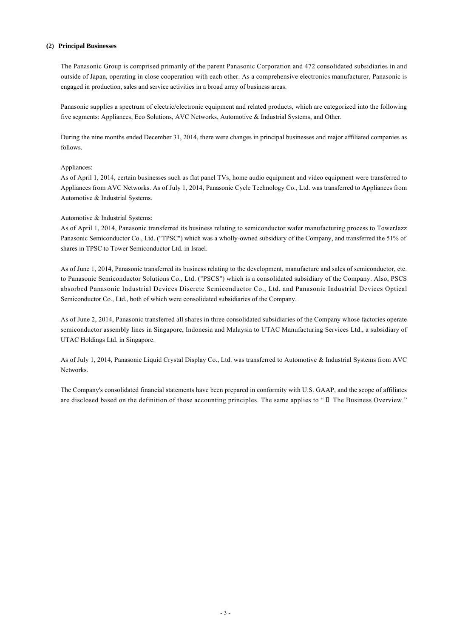### **(2) Principal Businesses**

The Panasonic Group is comprised primarily of the parent Panasonic Corporation and 472 consolidated subsidiaries in and outside of Japan, operating in close cooperation with each other. As a comprehensive electronics manufacturer, Panasonic is engaged in production, sales and service activities in a broad array of business areas.

Panasonic supplies a spectrum of electric/electronic equipment and related products, which are categorized into the following five segments: Appliances, Eco Solutions, AVC Networks, Automotive & Industrial Systems, and Other.

During the nine months ended December 31, 2014, there were changes in principal businesses and major affiliated companies as follows.

### Appliances:

As of April 1, 2014, certain businesses such as flat panel TVs, home audio equipment and video equipment were transferred to Appliances from AVC Networks. As of July 1, 2014, Panasonic Cycle Technology Co., Ltd. was transferred to Appliances from Automotive & Industrial Systems.

### Automotive & Industrial Systems:

As of April 1, 2014, Panasonic transferred its business relating to semiconductor wafer manufacturing process to TowerJazz Panasonic Semiconductor Co., Ltd. ("TPSC") which was a wholly-owned subsidiary of the Company, and transferred the 51% of shares in TPSC to Tower Semiconductor Ltd. in Israel.

As of June 1, 2014, Panasonic transferred its business relating to the development, manufacture and sales of semiconductor, etc. to Panasonic Semiconductor Solutions Co., Ltd. ("PSCS") which is a consolidated subsidiary of the Company. Also, PSCS absorbed Panasonic Industrial Devices Discrete Semiconductor Co., Ltd. and Panasonic Industrial Devices Optical Semiconductor Co., Ltd., both of which were consolidated subsidiaries of the Company.

As of June 2, 2014, Panasonic transferred all shares in three consolidated subsidiaries of the Company whose factories operate semiconductor assembly lines in Singapore, Indonesia and Malaysia to UTAC Manufacturing Services Ltd., a subsidiary of UTAC Holdings Ltd. in Singapore.

As of July 1, 2014, Panasonic Liquid Crystal Display Co., Ltd. was transferred to Automotive & Industrial Systems from AVC Networks.

The Company's consolidated financial statements have been prepared in conformity with U.S. GAAP, and the scope of affiliates are disclosed based on the definition of those accounting principles. The same applies to "Ⅱ The Business Overview."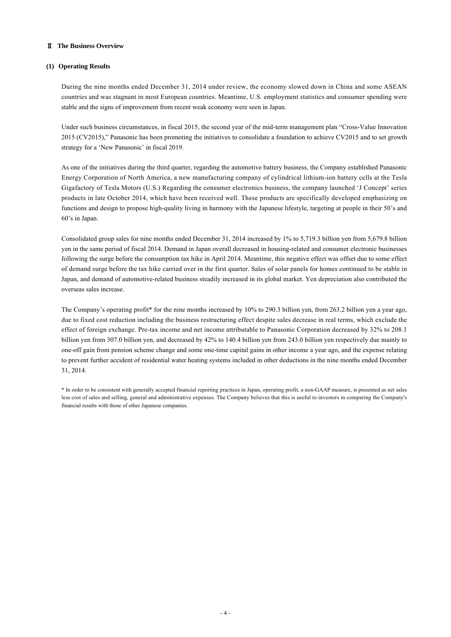# Ⅱ **The Business Overview**

# **(1) Operating Results**

During the nine months ended December 31, 2014 under review, the economy slowed down in China and some ASEAN countries and was stagnant in most European countries. Meantime, U.S. employment statistics and consumer spending were stable and the signs of improvement from recent weak economy were seen in Japan.

Under such business circumstances, in fiscal 2015, the second year of the mid-term management plan "Cross-Value Innovation 2015 (CV2015)," Panasonic has been promoting the initiatives to consolidate a foundation to achieve CV2015 and to set growth strategy for a 'New Panasonic' in fiscal 2019.

As one of the initiatives during the third quarter, regarding the automotive battery business, the Company established Panasonic Energy Corporation of North America, a new manufacturing company of cylindrical lithium-ion battery cells at the Tesla Gigafactory of Tesla Motors (U.S.) Regarding the consumer electronics business, the company launched 'J Concept' series products in late October 2014, which have been received well. These products are specifically developed emphasizing on functions and design to propose high-quality living in harmony with the Japanese lifestyle, targeting at people in their 50's and 60's in Japan.

Consolidated group sales for nine months ended December 31, 2014 increased by 1% to 5,719.3 billion yen from 5,679.8 billion yen in the same period of fiscal 2014. Demand in Japan overall decreased in housing-related and consumer electronic businesses following the surge before the consumption tax hike in April 2014. Meantime, this negative effect was offset due to some effect of demand surge before the tax hike carried over in the first quarter. Sales of solar panels for homes continued to be stable in Japan, and demand of automotive-related business steadily increased in its global market. Yen depreciation also contributed the overseas sales increase.

The Company's operating profit\* for the nine months increased by 10% to 290.3 billion yen, from 263.2 billion yen a year ago, due to fixed cost reduction including the business restructuring effect despite sales decrease in real terms, which exclude the effect of foreign exchange. Pre-tax income and net income attributable to Panasonic Corporation decreased by 32% to 208.1 billion yen from 307.0 billion yen, and decreased by 42% to 140.4 billion yen from 243.0 billion yen respectively due mainly to one-off gain from pension scheme change and some one-time capital gains in other income a year ago, and the expense relating to prevent further accident of residential water heating systems included in other deductions in the nine months ended December 31, 2014.

\* In order to be consistent with generally accepted financial reporting practices in Japan, operating profit, a non-GAAP measure, is presented as net sales less cost of sales and selling, general and administrative expenses. The Company believes that this is useful to investors in comparing the Company's financial results with those of other Japanese companies.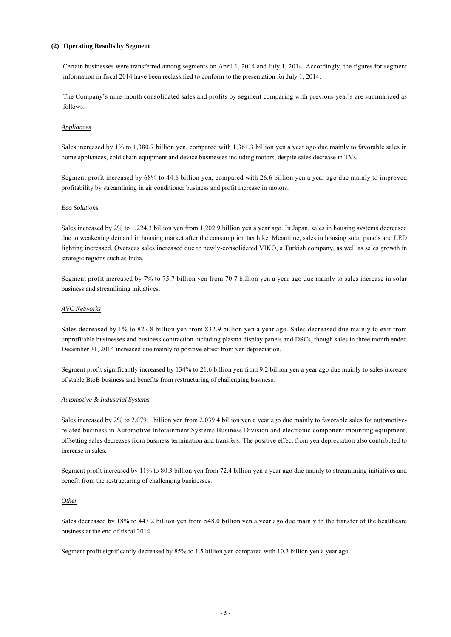### **(2) Operating Results by Segment**

Certain businesses were transferred among segments on April 1, 2014 and July 1, 2014. Accordingly, the figures for segment information in fiscal 2014 have been reclassified to conform to the presentation for July 1, 2014.

The Company's nine-month consolidated sales and profits by segment comparing with previous year's are summarized as follows:

### *Appliances*

Sales increased by 1% to 1,380.7 billion yen, compared with 1,361.3 billion yen a year ago due mainly to favorable sales in home appliances, cold chain equipment and device businesses including motors, despite sales decrease in TVs.

Segment profit increased by 68% to 44.6 billion yen, compared with 26.6 billion yen a year ago due mainly to improved profitability by streamlining in air conditioner business and profit increase in motors.

#### *Eco Solutions*

Sales increased by 2% to 1,224.3 billion yen from 1,202.9 billion yen a year ago. In Japan, sales in housing systems decreased due to weakening demand in housing market after the consumption tax hike. Meantime, sales in housing solar panels and LED lighting increased. Overseas sales increased due to newly-consolidated VIKO, a Turkish company, as well as sales growth in strategic regions such as India.

Segment profit increased by 7% to 75.7 billion yen from 70.7 billion yen a year ago due mainly to sales increase in solar business and streamlining initiatives.

### *AVC Networks*

Sales decreased by 1% to 827.8 billion yen from 832.9 billion yen a year ago. Sales decreased due mainly to exit from unprofitable businesses and business contraction including plasma display panels and DSCs, though sales in three month ended December 31, 2014 increased due mainly to positive effect from yen depreciation.

Segment profit significantly increased by 134% to 21.6 billion yen from 9.2 billion yen a year ago due mainly to sales increase of stable BtoB business and benefits from restructuring of challenging business.

#### *Automotive & Industrial Systems*

Sales increased by 2% to 2,079.1 billion yen from 2,039.4 billion yen a year ago due mainly to favorable sales for automotiverelated business in Automotive Infotainment Systems Business Division and electronic component mounting equipment, offsetting sales decreases from business termination and transfers. The positive effect from yen depreciation also contributed to increase in sales.

Segment profit increased by 11% to 80.3 billion yen from 72.4 billion yen a year ago due mainly to streamlining initiatives and benefit from the restructuring of challenging businesses.

#### *Other*

Sales decreased by 18% to 447.2 billion yen from 548.0 billion yen a year ago due mainly to the transfer of the healthcare business at the end of fiscal 2014.

Segment profit significantly decreased by 85% to 1.5 billion yen compared with 10.3 billion yen a year ago.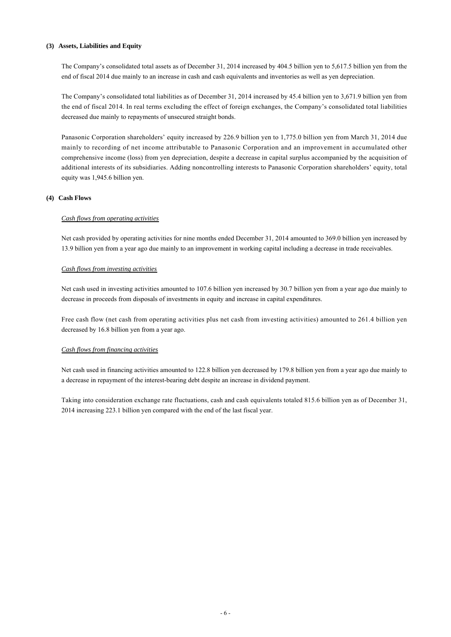### **(3) Assets, Liabilities and Equity**

The Company's consolidated total assets as of December 31, 2014 increased by 404.5 billion yen to 5,617.5 billion yen from the end of fiscal 2014 due mainly to an increase in cash and cash equivalents and inventories as well as yen depreciation.

The Company's consolidated total liabilities as of December 31, 2014 increased by 45.4 billion yen to 3,671.9 billion yen from the end of fiscal 2014. In real terms excluding the effect of foreign exchanges, the Company's consolidated total liabilities decreased due mainly to repayments of unsecured straight bonds.

Panasonic Corporation shareholders' equity increased by 226.9 billion yen to 1,775.0 billion yen from March 31, 2014 due mainly to recording of net income attributable to Panasonic Corporation and an improvement in accumulated other comprehensive income (loss) from yen depreciation, despite a decrease in capital surplus accompanied by the acquisition of additional interests of its subsidiaries. Adding noncontrolling interests to Panasonic Corporation shareholders' equity, total equity was 1,945.6 billion yen.

### **(4) Cash Flows**

### *Cash flows from operating activities*

Net cash provided by operating activities for nine months ended December 31, 2014 amounted to 369.0 billion yen increased by 13.9 billion yen from a year ago due mainly to an improvement in working capital including a decrease in trade receivables.

### *Cash flows from investing activities*

Net cash used in investing activities amounted to 107.6 billion yen increased by 30.7 billion yen from a year ago due mainly to decrease in proceeds from disposals of investments in equity and increase in capital expenditures.

Free cash flow (net cash from operating activities plus net cash from investing activities) amounted to 261.4 billion yen decreased by 16.8 billion yen from a year ago.

#### *Cash flows from financing activities*

Net cash used in financing activities amounted to 122.8 billion yen decreased by 179.8 billion yen from a year ago due mainly to a decrease in repayment of the interest-bearing debt despite an increase in dividend payment.

Taking into consideration exchange rate fluctuations, cash and cash equivalents totaled 815.6 billion yen as of December 31, 2014 increasing 223.1 billion yen compared with the end of the last fiscal year.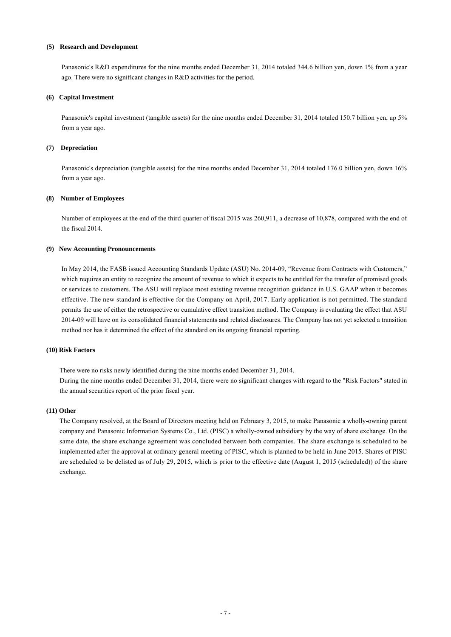### **(5) Research and Development**

Panasonic's R&D expenditures for the nine months ended December 31, 2014 totaled 344.6 billion yen, down 1% from a year ago. There were no significant changes in R&D activities for the period.

### **(6) Capital Investment**

Panasonic's capital investment (tangible assets) for the nine months ended December 31, 2014 totaled 150.7 billion yen, up 5% from a year ago.

#### **(7) Depreciation**

Panasonic's depreciation (tangible assets) for the nine months ended December 31, 2014 totaled 176.0 billion yen, down 16% from a year ago.

### **(8) Number of Employees**

Number of employees at the end of the third quarter of fiscal 2015 was 260,911, a decrease of 10,878, compared with the end of the fiscal 2014.

### **(9) New Accounting Pronouncements**

In May 2014, the FASB issued Accounting Standards Update (ASU) No. 2014-09, "Revenue from Contracts with Customers," which requires an entity to recognize the amount of revenue to which it expects to be entitled for the transfer of promised goods or services to customers. The ASU will replace most existing revenue recognition guidance in U.S. GAAP when it becomes effective. The new standard is effective for the Company on April, 2017. Early application is not permitted. The standard permits the use of either the retrospective or cumulative effect transition method. The Company is evaluating the effect that ASU 2014-09 will have on its consolidated financial statements and related disclosures. The Company has not yet selected a transition method nor has it determined the effect of the standard on its ongoing financial reporting.

#### **(10) Risk Factors**

There were no risks newly identified during the nine months ended December 31, 2014. During the nine months ended December 31, 2014, there were no significant changes with regard to the "Risk Factors" stated in the annual securities report of the prior fiscal year.

#### **(11) Other**

The Company resolved, at the Board of Directors meeting held on February 3, 2015, to make Panasonic a wholly-owning parent company and Panasonic Information Systems Co., Ltd. (PISC) a wholly-owned subsidiary by the way of share exchange. On the same date, the share exchange agreement was concluded between both companies. The share exchange is scheduled to be implemented after the approval at ordinary general meeting of PISC, which is planned to be held in June 2015. Shares of PISC are scheduled to be delisted as of July 29, 2015, which is prior to the effective date (August 1, 2015 (scheduled)) of the share exchange.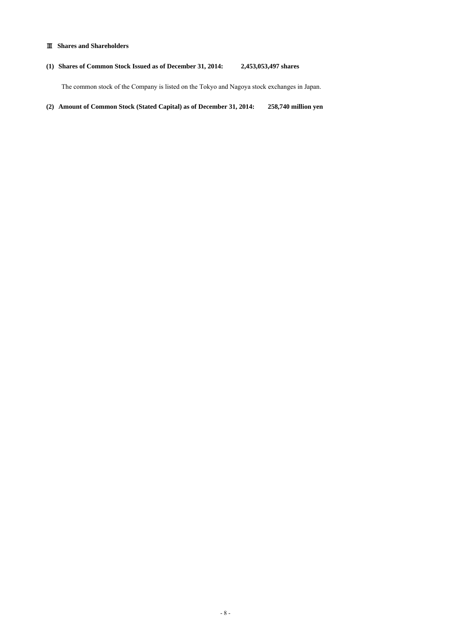# Ⅲ **Shares and Shareholders**

# **(1) Shares of Common Stock Issued as of December 31, 2014: 2,453,053,497 shares**

The common stock of the Company is listed on the Tokyo and Nagoya stock exchanges in Japan.

**(2) Amount of Common Stock (Stated Capital) as of December 31, 2014: 258,740 million yen**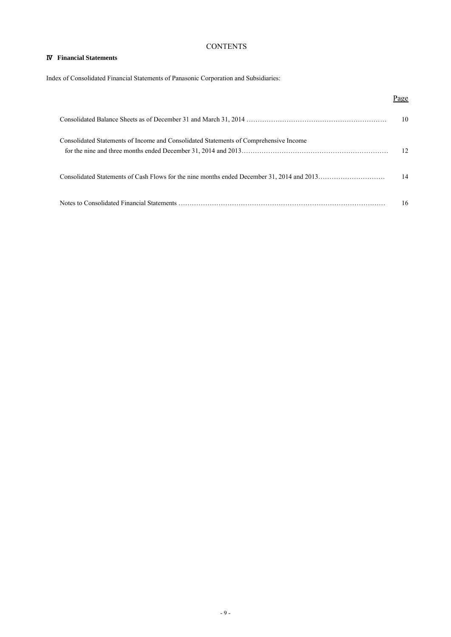# **CONTENTS**

# Ⅳ **Financial Statements**

Index of Consolidated Financial Statements of Panasonic Corporation and Subsidiaries:

# Page Consolidated Balance Sheets as of December 31 and March 31, 2014 ……………………………………………………… 10 Consolidated Statements of Income and Consolidated Statements of Comprehensive Income for the nine and three months ended December 31, 2014 and 2013………………………………………………………… 12 Consolidated Statements of Cash Flows for the nine months ended December 31, 2014 and 2013………………………… 14 Notes to Consolidated Financial Statements ………………………………………………………………………………… 16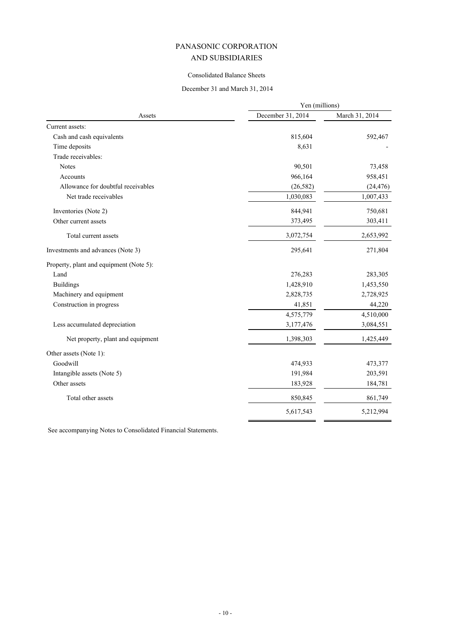# Consolidated Balance Sheets

# December 31 and March 31, 2014

|                                         | Yen (millions)    |                |  |
|-----------------------------------------|-------------------|----------------|--|
| Assets                                  | December 31, 2014 | March 31, 2014 |  |
| Current assets:                         |                   |                |  |
| Cash and cash equivalents               | 815,604           | 592,467        |  |
| Time deposits                           | 8,631             |                |  |
| Trade receivables:                      |                   |                |  |
| <b>Notes</b>                            | 90,501            | 73,458         |  |
| Accounts                                | 966,164           | 958,451        |  |
| Allowance for doubtful receivables      | (26, 582)         | (24, 476)      |  |
| Net trade receivables                   | 1,030,083         | 1,007,433      |  |
| Inventories (Note 2)                    | 844,941           | 750,681        |  |
| Other current assets                    | 373,495           | 303,411        |  |
| Total current assets                    | 3,072,754         | 2,653,992      |  |
| Investments and advances (Note 3)       | 295,641           | 271,804        |  |
| Property, plant and equipment (Note 5): |                   |                |  |
| Land                                    | 276,283           | 283,305        |  |
| <b>Buildings</b>                        | 1,428,910         | 1,453,550      |  |
| Machinery and equipment                 | 2,828,735         | 2,728,925      |  |
| Construction in progress                | 41,851            | 44,220         |  |
|                                         | 4,575,779         | 4,510,000      |  |
| Less accumulated depreciation           | 3,177,476         | 3,084,551      |  |
| Net property, plant and equipment       | 1,398,303         | 1,425,449      |  |
| Other assets (Note 1):                  |                   |                |  |
| Goodwill                                | 474,933           | 473,377        |  |
| Intangible assets (Note 5)              | 191,984           | 203,591        |  |
| Other assets                            | 183,928           | 184,781        |  |
| Total other assets                      | 850,845           | 861,749        |  |
|                                         | 5,617,543         | 5,212,994      |  |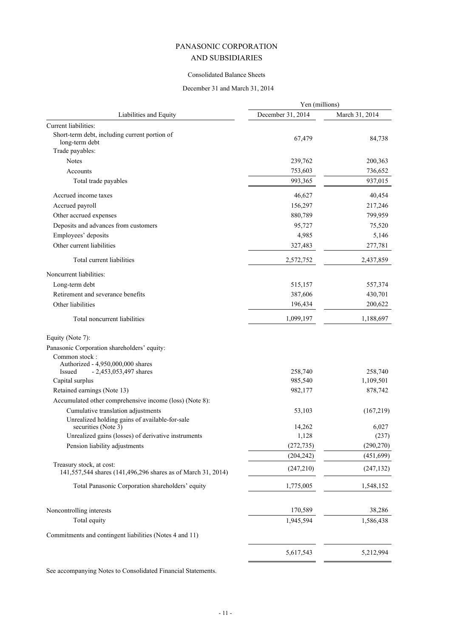# Consolidated Balance Sheets

# December 31 and March 31, 2014

|                                                                                          | Yen (millions)     |                      |
|------------------------------------------------------------------------------------------|--------------------|----------------------|
| Liabilities and Equity                                                                   | December 31, 2014  | March 31, 2014       |
| Current liabilities:                                                                     |                    |                      |
| Short-term debt, including current portion of<br>long-term debt                          | 67,479             | 84,738               |
| Trade payables:                                                                          |                    |                      |
| <b>Notes</b>                                                                             | 239,762            | 200,363              |
| Accounts                                                                                 | 753,603            | 736,652              |
| Total trade payables                                                                     | 993,365            | 937,015              |
| Accrued income taxes                                                                     | 46,627             | 40,454               |
| Accrued payroll                                                                          | 156,297            | 217,246              |
| Other accrued expenses                                                                   | 880,789            | 799,959              |
| Deposits and advances from customers                                                     | 95,727             | 75,520               |
| Employees' deposits                                                                      | 4,985              | 5,146                |
| Other current liabilities                                                                | 327,483            | 277,781              |
| Total current liabilities                                                                | 2,572,752          | 2,437,859            |
| Noncurrent liabilities:                                                                  |                    |                      |
| Long-term debt                                                                           | 515,157            | 557,374              |
| Retirement and severance benefits                                                        | 387,606            | 430,701              |
| Other liabilities                                                                        | 196,434            | 200,622              |
| Total noncurrent liabilities                                                             | 1,099,197          | 1,188,697            |
| Equity (Note 7):                                                                         |                    |                      |
| Panasonic Corporation shareholders' equity:                                              |                    |                      |
| Common stock:                                                                            |                    |                      |
| Authorized - 4,950,000,000 shares                                                        |                    |                      |
| - 2,453,053,497 shares<br>Issued<br>Capital surplus                                      | 258,740<br>985,540 | 258,740<br>1,109,501 |
| Retained earnings (Note 13)                                                              | 982,177            | 878,742              |
| Accumulated other comprehensive income (loss) (Note 8):                                  |                    |                      |
| Cumulative translation adjustments                                                       | 53,103             | (167,219)            |
| Unrealized holding gains of available-for-sale                                           |                    |                      |
| securities (Note 3)                                                                      | 14,262             | 6,027                |
| Unrealized gains (losses) of derivative instruments                                      | 1,128              | (237)                |
| Pension liability adjustments                                                            | (272, 735)         | (290, 270)           |
|                                                                                          | (204, 242)         | (451, 699)           |
| Treasury stock, at cost:<br>141,557,544 shares (141,496,296 shares as of March 31, 2014) | (247,210)          | (247, 132)           |
| Total Panasonic Corporation shareholders' equity                                         | 1,775,005          | 1,548,152            |
| Noncontrolling interests                                                                 | 170,589            | 38,286               |
| Total equity                                                                             | 1,945,594          | 1,586,438            |
| Commitments and contingent liabilities (Notes 4 and 11)                                  |                    |                      |
|                                                                                          |                    |                      |
|                                                                                          | 5,617,543          | 5,212,994            |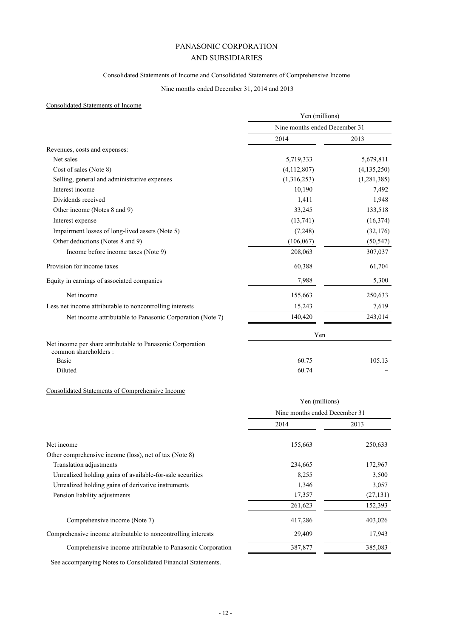# Consolidated Statements of Income and Consolidated Statements of Comprehensive Income

# Nine months ended December 31, 2014 and 2013

# Consolidated Statements of Income

|                                                                                    | Yen (millions)<br>Nine months ended December 31 |               |
|------------------------------------------------------------------------------------|-------------------------------------------------|---------------|
|                                                                                    |                                                 |               |
|                                                                                    | 2014                                            | 2013          |
| Revenues, costs and expenses:                                                      |                                                 |               |
| Net sales                                                                          | 5,719,333                                       | 5,679,811     |
| Cost of sales (Note 8)                                                             | (4,112,807)                                     | (4, 135, 250) |
| Selling, general and administrative expenses                                       | (1,316,253)                                     | (1, 281, 385) |
| Interest income                                                                    | 10,190                                          | 7,492         |
| Dividends received                                                                 | 1,411                                           | 1,948         |
| Other income (Notes 8 and 9)                                                       | 33,245                                          | 133,518       |
| Interest expense                                                                   | (13,741)                                        | (16, 374)     |
| Impairment losses of long-lived assets (Note 5)                                    | (7,248)                                         | (32,176)      |
| Other deductions (Notes 8 and 9)                                                   | (106, 067)                                      | (50, 547)     |
| Income before income taxes (Note 9)                                                | 208,063                                         | 307,037       |
| Provision for income taxes                                                         | 60,388                                          | 61,704        |
| Equity in earnings of associated companies                                         | 7,988                                           | 5,300         |
| Net income                                                                         | 155,663                                         | 250,633       |
| Less net income attributable to noncontrolling interests                           | 15,243                                          | 7,619         |
| Net income attributable to Panasonic Corporation (Note 7)                          | 140,420                                         | 243,014       |
|                                                                                    | Yen                                             |               |
| Net income per share attributable to Panasonic Corporation<br>common shareholders: |                                                 |               |
| <b>Basic</b>                                                                       | 60.75                                           | 105.13        |
| Diluted                                                                            | 60.74                                           |               |

# Consolidated Statements of Comprehensive Income

|                                                               | Yen (millions)                |           |
|---------------------------------------------------------------|-------------------------------|-----------|
|                                                               | Nine months ended December 31 |           |
|                                                               | 2014                          | 2013      |
| Net income                                                    | 155,663                       | 250,633   |
| Other comprehensive income (loss), net of tax (Note 8)        |                               |           |
| Translation adjustments                                       | 234,665                       | 172,967   |
| Unrealized holding gains of available-for-sale securities     | 8,255                         | 3,500     |
| Unrealized holding gains of derivative instruments            | 1,346                         | 3,057     |
| Pension liability adjustments                                 | 17,357                        | (27, 131) |
|                                                               | 261,623                       | 152,393   |
| Comprehensive income (Note 7)                                 | 417,286                       | 403,026   |
| Comprehensive income attributable to noncontrolling interests | 29,409                        | 17,943    |
| Comprehensive income attributable to Panasonic Corporation    | 387,877                       | 385,083   |
|                                                               |                               |           |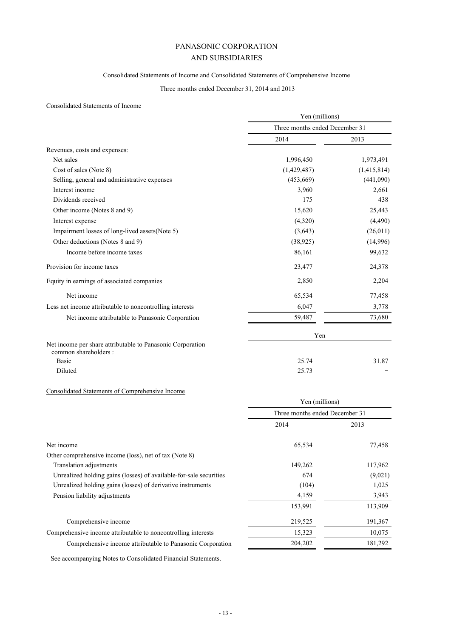# Consolidated Statements of Income and Consolidated Statements of Comprehensive Income

# Three months ended December 31, 2014 and 2013

# Consolidated Statements of Income

|                                                                                     | Yen (millions)<br>Three months ended December 31 |             |
|-------------------------------------------------------------------------------------|--------------------------------------------------|-------------|
|                                                                                     |                                                  |             |
|                                                                                     | 2014                                             | 2013        |
| Revenues, costs and expenses:                                                       |                                                  |             |
| Net sales                                                                           | 1,996,450                                        | 1,973,491   |
| Cost of sales (Note 8)                                                              | (1,429,487)                                      | (1,415,814) |
| Selling, general and administrative expenses                                        | (453, 669)                                       | (441,090)   |
| Interest income                                                                     | 3,960                                            | 2,661       |
| Dividends received                                                                  | 175                                              | 438         |
| Other income (Notes 8 and 9)                                                        | 15,620                                           | 25,443      |
| Interest expense                                                                    | (4,320)                                          | (4,490)     |
| Impairment losses of long-lived assets (Note 5)                                     | (3,643)                                          | (26, 011)   |
| Other deductions (Notes 8 and 9)                                                    | (38, 925)                                        | (14,996)    |
| Income before income taxes                                                          | 86,161                                           | 99,632      |
| Provision for income taxes                                                          | 23,477                                           | 24,378      |
| Equity in earnings of associated companies                                          | 2,850                                            | 2,204       |
| Net income                                                                          | 65,534                                           | 77,458      |
| Less net income attributable to noncontrolling interests                            | 6,047                                            | 3,778       |
| Net income attributable to Panasonic Corporation                                    | 59,487                                           | 73,680      |
|                                                                                     | Yen                                              |             |
| Net income per share attributable to Panasonic Corporation<br>common shareholders : |                                                  |             |
| <b>Basic</b>                                                                        | 25.74                                            | 31.87       |
| Diluted                                                                             | 25.73                                            |             |

# Consolidated Statements of Comprehensive Income

|                                                                    |                                | Yen (millions) |  |
|--------------------------------------------------------------------|--------------------------------|----------------|--|
|                                                                    | Three months ended December 31 |                |  |
|                                                                    | 2014                           | 2013           |  |
| Net income                                                         | 65,534                         | 77,458         |  |
| Other comprehensive income (loss), net of tax (Note 8)             |                                |                |  |
| Translation adjustments                                            | 149,262                        | 117,962        |  |
| Unrealized holding gains (losses) of available-for-sale securities | 674                            | (9,021)        |  |
| Unrealized holding gains (losses) of derivative instruments        | (104)                          | 1,025          |  |
| Pension liability adjustments                                      | 4,159                          | 3,943          |  |
|                                                                    | 153,991                        | 113,909        |  |
| Comprehensive income                                               | 219,525                        | 191,367        |  |
| Comprehensive income attributable to noncontrolling interests      | 15,323                         | 10,075         |  |
| Comprehensive income attributable to Panasonic Corporation         | 204,202                        | 181,292        |  |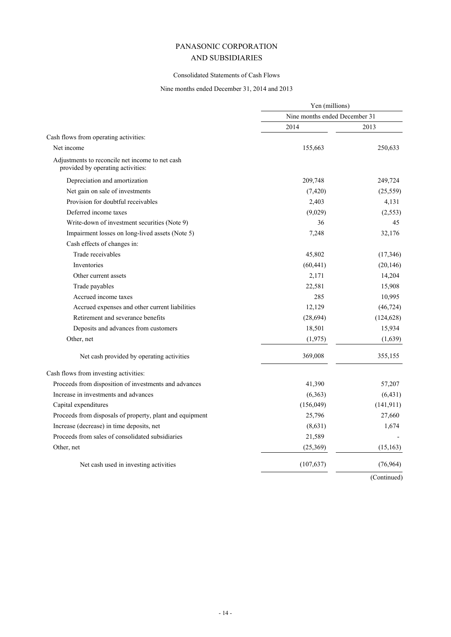# Consolidated Statements of Cash Flows

# Nine months ended December 31, 2014 and 2013

|                                                                                      | Yen (millions)                |             |
|--------------------------------------------------------------------------------------|-------------------------------|-------------|
|                                                                                      | Nine months ended December 31 |             |
|                                                                                      | 2014                          | 2013        |
| Cash flows from operating activities:                                                |                               |             |
| Net income                                                                           | 155,663                       | 250,633     |
| Adjustments to reconcile net income to net cash<br>provided by operating activities: |                               |             |
| Depreciation and amortization                                                        | 209,748                       | 249,724     |
| Net gain on sale of investments                                                      | (7, 420)                      | (25, 559)   |
| Provision for doubtful receivables                                                   | 2,403                         | 4,131       |
| Deferred income taxes                                                                | (9,029)                       | (2,553)     |
| Write-down of investment securities (Note 9)                                         | 36                            | 45          |
| Impairment losses on long-lived assets (Note 5)                                      | 7,248                         | 32,176      |
| Cash effects of changes in:                                                          |                               |             |
| Trade receivables                                                                    | 45,802                        | (17, 346)   |
| Inventories                                                                          | (60, 441)                     | (20, 146)   |
| Other current assets                                                                 | 2,171                         | 14,204      |
| Trade payables                                                                       | 22,581                        | 15,908      |
| Accrued income taxes                                                                 | 285                           | 10,995      |
| Accrued expenses and other current liabilities                                       | 12,129                        | (46, 724)   |
| Retirement and severance benefits                                                    | (28, 694)                     | (124, 628)  |
| Deposits and advances from customers                                                 | 18,501                        | 15,934      |
| Other, net                                                                           | (1, 975)                      | (1,639)     |
| Net cash provided by operating activities                                            | 369,008                       | 355,155     |
| Cash flows from investing activities:                                                |                               |             |
| Proceeds from disposition of investments and advances                                | 41,390                        | 57,207      |
| Increase in investments and advances                                                 | (6, 363)                      | (6, 431)    |
| Capital expenditures                                                                 | (156, 049)                    | (141, 911)  |
| Proceeds from disposals of property, plant and equipment                             | 25,796                        | 27,660      |
| Increase (decrease) in time deposits, net                                            | (8, 631)                      | 1,674       |
| Proceeds from sales of consolidated subsidiaries                                     | 21,589                        |             |
| Other, net                                                                           | (25, 369)                     | (15, 163)   |
| Net cash used in investing activities                                                | (107, 637)                    | (76, 964)   |
|                                                                                      |                               | (Continued) |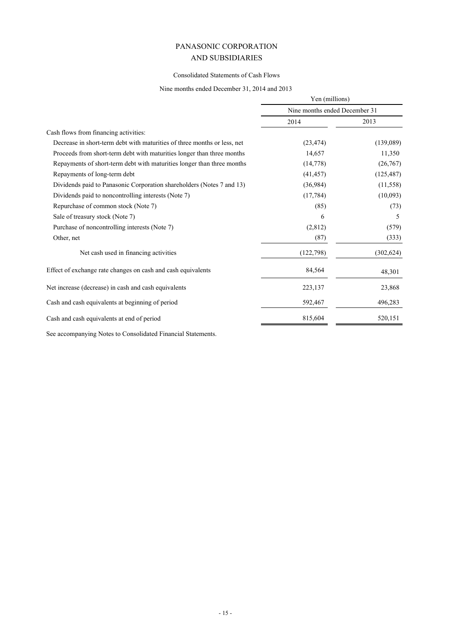# Consolidated Statements of Cash Flows

# Nine months ended December 31, 2014 and 2013

|                                                                          | Yen (millions)                |            |
|--------------------------------------------------------------------------|-------------------------------|------------|
|                                                                          | Nine months ended December 31 |            |
|                                                                          | 2014                          | 2013       |
| Cash flows from financing activities:                                    |                               |            |
| Decrease in short-term debt with maturities of three months or less, net | (23, 474)                     | (139,089)  |
| Proceeds from short-term debt with maturities longer than three months   | 14,657                        | 11,350     |
| Repayments of short-term debt with maturities longer than three months   | (14, 778)                     | (26,767)   |
| Repayments of long-term debt                                             | (41, 457)                     | (125, 487) |
| Dividends paid to Panasonic Corporation shareholders (Notes 7 and 13)    | (36,984)                      | (11, 558)  |
| Dividends paid to noncontrolling interests (Note 7)                      | (17, 784)                     | (10,093)   |
| Repurchase of common stock (Note 7)                                      | (85)                          | (73)       |
| Sale of treasury stock (Note 7)                                          | 6                             | 5          |
| Purchase of noncontrolling interests (Note 7)                            | (2,812)                       | (579)      |
| Other, net                                                               | (87)                          | (333)      |
| Net cash used in financing activities                                    | (122, 798)                    | (302, 624) |
| Effect of exchange rate changes on cash and cash equivalents             | 84,564                        | 48,301     |
| Net increase (decrease) in cash and cash equivalents                     | 223,137                       | 23,868     |
| Cash and cash equivalents at beginning of period                         | 592,467                       | 496,283    |
| Cash and cash equivalents at end of period                               | 815,604                       | 520,151    |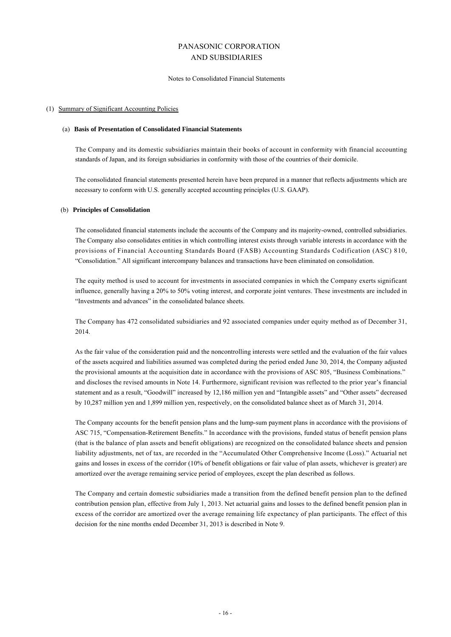#### Notes to Consolidated Financial Statements

### (1) Summary of Significant Accounting Policies

#### (a) **Basis of Presentation of Consolidated Financial Statements**

The Company and its domestic subsidiaries maintain their books of account in conformity with financial accounting standards of Japan, and its foreign subsidiaries in conformity with those of the countries of their domicile.

The consolidated financial statements presented herein have been prepared in a manner that reflects adjustments which are necessary to conform with U.S. generally accepted accounting principles (U.S. GAAP).

### (b) **Principles of Consolidation**

The consolidated financial statements include the accounts of the Company and its majority-owned, controlled subsidiaries. The Company also consolidates entities in which controlling interest exists through variable interests in accordance with the provisions of Financial Accounting Standards Board (FASB) Accounting Standards Codification (ASC) 810, "Consolidation." All significant intercompany balances and transactions have been eliminated on consolidation.

The equity method is used to account for investments in associated companies in which the Company exerts significant influence, generally having a 20% to 50% voting interest, and corporate joint ventures. These investments are included in "Investments and advances" in the consolidated balance sheets.

The Company has 472 consolidated subsidiaries and 92 associated companies under equity method as of December 31, 2014.

As the fair value of the consideration paid and the noncontrolling interests were settled and the evaluation of the fair values of the assets acquired and liabilities assumed was completed during the period ended June 30, 2014, the Company adjusted the provisional amounts at the acquisition date in accordance with the provisions of ASC 805, "Business Combinations." and discloses the revised amounts in Note 14. Furthermore, significant revision was reflected to the prior year's financial statement and as a result, "Goodwill" increased by 12,186 million yen and "Intangible assets" and "Other assets" decreased by 10,287 million yen and 1,899 million yen, respectively, on the consolidated balance sheet as of March 31, 2014.

The Company accounts for the benefit pension plans and the lump-sum payment plans in accordance with the provisions of ASC 715, "Compensation-Retirement Benefits." In accordance with the provisions, funded status of benefit pension plans (that is the balance of plan assets and benefit obligations) are recognized on the consolidated balance sheets and pension liability adjustments, net of tax, are recorded in the "Accumulated Other Comprehensive Income (Loss)." Actuarial net gains and losses in excess of the corridor (10% of benefit obligations or fair value of plan assets, whichever is greater) are amortized over the average remaining service period of employees, except the plan described as follows.

The Company and certain domestic subsidiaries made a transition from the defined benefit pension plan to the defined contribution pension plan, effective from July 1, 2013. Net actuarial gains and losses to the defined benefit pension plan in excess of the corridor are amortized over the average remaining life expectancy of plan participants. The effect of this decision for the nine months ended December 31, 2013 is described in Note 9.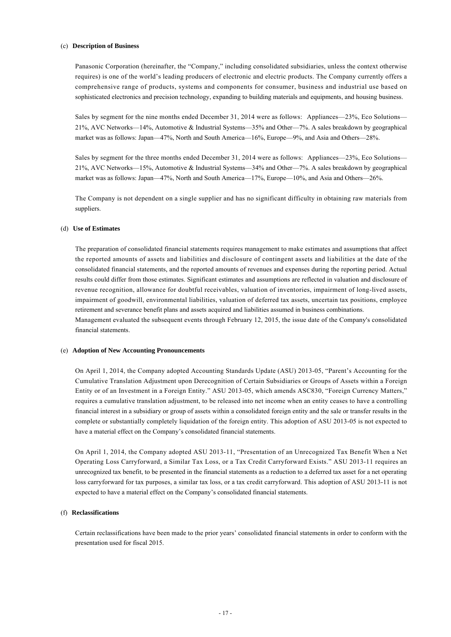### (c) **Description of Business**

Panasonic Corporation (hereinafter, the "Company," including consolidated subsidiaries, unless the context otherwise requires) is one of the world's leading producers of electronic and electric products. The Company currently offers a comprehensive range of products, systems and components for consumer, business and industrial use based on sophisticated electronics and precision technology, expanding to building materials and equipments, and housing business.

Sales by segment for the nine months ended December 31, 2014 were as follows: Appliances—23%, Eco Solutions— 21%, AVC Networks—14%, Automotive & Industrial Systems—35% and Other—7%. A sales breakdown by geographical market was as follows: Japan—47%, North and South America—16%, Europe—9%, and Asia and Others—28%.

Sales by segment for the three months ended December 31, 2014 were as follows: Appliances—23%, Eco Solutions— 21%, AVC Networks—15%, Automotive & Industrial Systems—34% and Other—7%. A sales breakdown by geographical market was as follows: Japan—47%, North and South America—17%, Europe—10%, and Asia and Others—26%.

The Company is not dependent on a single supplier and has no significant difficulty in obtaining raw materials from suppliers.

### (d) **Use of Estimates**

financial statements.

The preparation of consolidated financial statements requires management to make estimates and assumptions that affect the reported amounts of assets and liabilities and disclosure of contingent assets and liabilities at the date of the consolidated financial statements, and the reported amounts of revenues and expenses during the reporting period. Actual results could differ from those estimates. Significant estimates and assumptions are reflected in valuation and disclosure of revenue recognition, allowance for doubtful receivables, valuation of inventories, impairment of long-lived assets, impairment of goodwill, environmental liabilities, valuation of deferred tax assets, uncertain tax positions, employee retirement and severance benefit plans and assets acquired and liabilities assumed in business combinations. Management evaluated the subsequent events through February 12, 2015, the issue date of the Company's consolidated

#### (e) **Adoption of New Accounting Pronouncements**

On April 1, 2014, the Company adopted Accounting Standards Update (ASU) 2013-05, "Parent's Accounting for the Cumulative Translation Adjustment upon Derecognition of Certain Subsidiaries or Groups of Assets within a Foreign Entity or of an Investment in a Foreign Entity." ASU 2013-05, which amends ASC830, "Foreign Currency Matters," requires a cumulative translation adjustment, to be released into net income when an entity ceases to have a controlling financial interest in a subsidiary or group of assets within a consolidated foreign entity and the sale or transfer results in the complete or substantially completely liquidation of the foreign entity. This adoption of ASU 2013-05 is not expected to have a material effect on the Company's consolidated financial statements.

On April 1, 2014, the Company adopted ASU 2013-11, "Presentation of an Unrecognized Tax Benefit When a Net Operating Loss Carryforward, a Similar Tax Loss, or a Tax Credit Carryforward Exists." ASU 2013-11 requires an unrecognized tax benefit, to be presented in the financial statements as a reduction to a deferred tax asset for a net operating loss carryforward for tax purposes, a similar tax loss, or a tax credit carryforward. This adoption of ASU 2013-11 is not expected to have a material effect on the Company's consolidated financial statements.

## (f) **Reclassifications**

Certain reclassifications have been made to the prior years' consolidated financial statements in order to conform with the presentation used for fiscal 2015.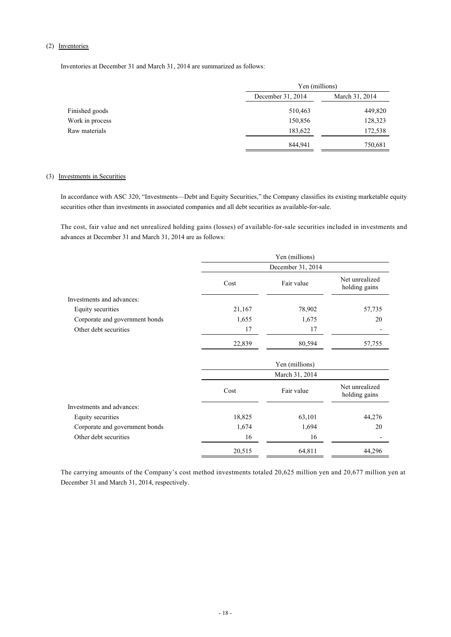# (2) Inventories

Inventories at December 31 and March 31, 2014 are summarized as follows:

|                 | Yen (millions)    |                |
|-----------------|-------------------|----------------|
|                 | December 31, 2014 | March 31, 2014 |
| Finished goods  | 510,463           | 449,820        |
| Work in process | 150,856           | 128,323        |
| Raw materials   | 183,622           | 172,538        |
|                 | 844,941           | 750,681        |

# (3) Investments in Securities

In accordance with ASC 320, "Investments—Debt and Equity Securities," the Company classifies its existing marketable equity securities other than investments in associated companies and all debt securities as available-for-sale.

The cost, fair value and net unrealized holding gains (losses) of available-for-sale securities included in investments and advances at December 31 and March 31, 2014 are as follows:

|                                |                   | Yen (millions) |                                 |
|--------------------------------|-------------------|----------------|---------------------------------|
|                                | December 31, 2014 |                |                                 |
|                                | Cost              | Fair value     | Net unrealized<br>holding gains |
| Investments and advances:      |                   |                |                                 |
| Equity securities              | 21,167            | 78,902         | 57,735                          |
| Corporate and government bonds | 1,655             | 1,675          | 20                              |
| Other debt securities          | 17                | 17             |                                 |
|                                | 22,839            | 80,594         | 57,755                          |
|                                |                   | Yen (millions) |                                 |
|                                |                   | March 31, 2014 |                                 |
|                                | Cost              | Fair value     | Net unrealized<br>holding gains |
| Investments and advances:      |                   |                |                                 |
| Equity securities              | 18,825            | 63,101         | 44,276                          |
| Corporate and government bonds | 1,674             | 1,694          | 20                              |
| Other debt securities          | 16                | 16             |                                 |
|                                | 20,515            | 64,811         | 44,296                          |

The carrying amounts of the Company's cost method investments totaled 20,625 million yen and 20,677 million yen at December 31 and March 31, 2014, respectively.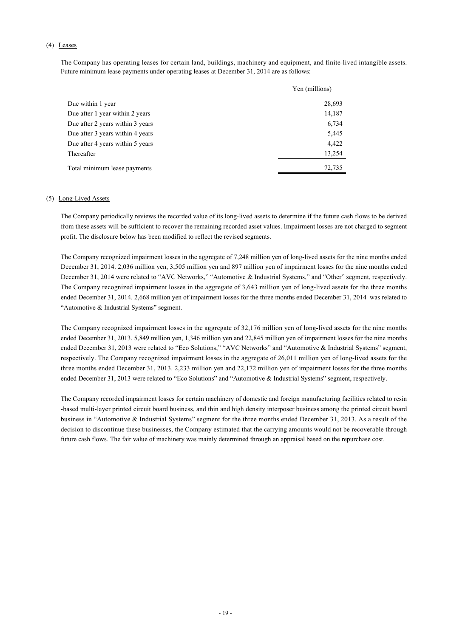# (4) Leases

The Company has operating leases for certain land, buildings, machinery and equipment, and finite-lived intangible assets. Future minimum lease payments under operating leases at December 31, 2014 are as follows:

|                                  | Yen (millions) |
|----------------------------------|----------------|
| Due within 1 year                | 28,693         |
| Due after 1 year within 2 years  | 14,187         |
| Due after 2 years within 3 years | 6,734          |
| Due after 3 years within 4 years | 5,445          |
| Due after 4 years within 5 years | 4,422          |
| Thereafter                       | 13,254         |
| Total minimum lease payments     | 72,735         |

# (5) Long-Lived Assets

The Company periodically reviews the recorded value of its long-lived assets to determine if the future cash flows to be derived from these assets will be sufficient to recover the remaining recorded asset values. Impairment losses are not charged to segment profit. The disclosure below has been modified to reflect the revised segments.

The Company recognized impairment losses in the aggregate of 7,248 million yen of long-lived assets for the nine months ended December 31, 2014. 2,036 million yen, 3,505 million yen and 897 million yen of impairment losses for the nine months ended December 31, 2014 were related to "AVC Networks," "Automotive & Industrial Systems," and "Other" segment, respectively. The Company recognized impairment losses in the aggregate of 3,643 million yen of long-lived assets for the three months ended December 31, 2014. 2,668 million yen of impairment losses for the three months ended December 31, 2014 was related to "Automotive & Industrial Systems" segment.

The Company recognized impairment losses in the aggregate of 32,176 million yen of long-lived assets for the nine months ended December 31, 2013. 5,849 million yen, 1,346 million yen and 22,845 million yen of impairment losses for the nine months ended December 31, 2013 were related to "Eco Solutions," "AVC Networks" and "Automotive & Industrial Systems" segment, respectively. The Company recognized impairment losses in the aggregate of 26,011 million yen of long-lived assets for the three months ended December 31, 2013. 2,233 million yen and 22,172 million yen of impairment losses for the three months ended December 31, 2013 were related to "Eco Solutions" and "Automotive & Industrial Systems" segment, respectively.

The Company recorded impairment losses for certain machinery of domestic and foreign manufacturing facilities related to resin -based multi-layer printed circuit board business, and thin and high density interposer business among the printed circuit board business in "Automotive & Industrial Systems" segment for the three months ended December 31, 2013. As a result of the decision to discontinue these businesses, the Company estimated that the carrying amounts would not be recoverable through future cash flows. The fair value of machinery was mainly determined through an appraisal based on the repurchase cost.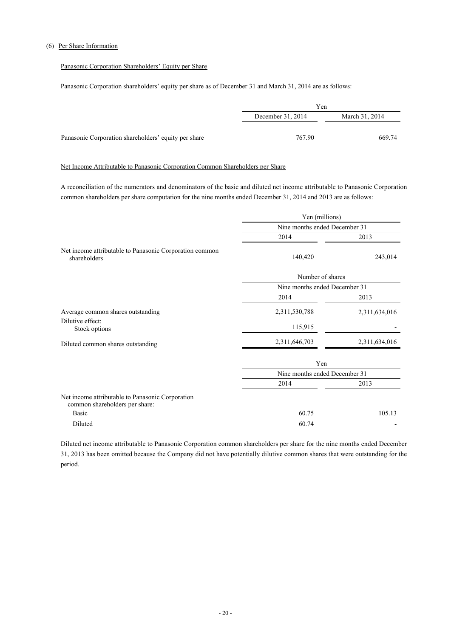# (6) Per Share Information

# Panasonic Corporation Shareholders' Equity per Share

Panasonic Corporation shareholders' equity per share as of December 31 and March 31, 2014 are as follows:

|                                                      | Yen                                 |        |  |
|------------------------------------------------------|-------------------------------------|--------|--|
|                                                      | March 31, 2014<br>December 31, 2014 |        |  |
|                                                      |                                     |        |  |
| Panasonic Corporation shareholders' equity per share | 767.90                              | 669.74 |  |

# Net Income Attributable to Panasonic Corporation Common Shareholders per Share

A reconciliation of the numerators and denominators of the basic and diluted net income attributable to Panasonic Corporation common shareholders per share computation for the nine months ended December 31, 2014 and 2013 are as follows:

|                                                                                    | Yen (millions)                |               |  |
|------------------------------------------------------------------------------------|-------------------------------|---------------|--|
|                                                                                    | Nine months ended December 31 |               |  |
|                                                                                    | 2014                          | 2013          |  |
| Net income attributable to Panasonic Corporation common<br>shareholders            | 140,420                       | 243,014       |  |
|                                                                                    | Number of shares              |               |  |
|                                                                                    | Nine months ended December 31 |               |  |
|                                                                                    | 2014                          | 2013          |  |
| Average common shares outstanding                                                  | 2,311,530,788                 | 2,311,634,016 |  |
| Dilutive effect:<br>Stock options                                                  | 115,915                       |               |  |
| Diluted common shares outstanding                                                  | 2,311,646,703                 | 2,311,634,016 |  |
|                                                                                    | Yen                           |               |  |
|                                                                                    | Nine months ended December 31 |               |  |
|                                                                                    | 2014                          | 2013          |  |
| Net income attributable to Panasonic Corporation<br>common shareholders per share: |                               |               |  |
| <b>Basic</b>                                                                       | 60.75                         | 105.13        |  |
| Diluted                                                                            | 60.74                         |               |  |

Diluted net income attributable to Panasonic Corporation common shareholders per share for the nine months ended December 31, 2013 has been omitted because the Company did not have potentially dilutive common shares that were outstanding for the period.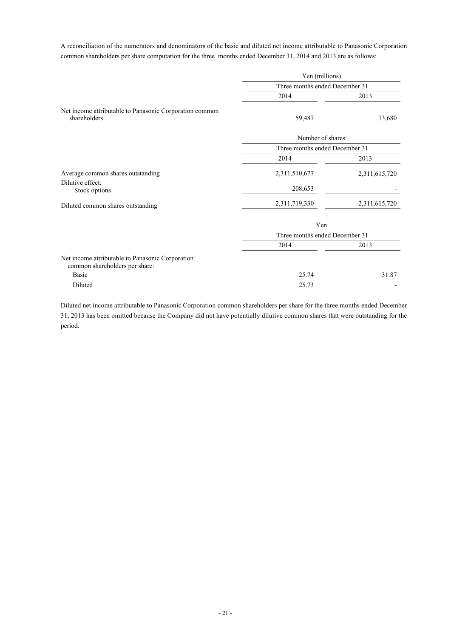A reconciliation of the numerators and denominators of the basic and diluted net income attributable to Panasonic Corporation common shareholders per share computation for the three months ended December 31, 2014 and 2013 are as follows:

|                                                                                    | Yen (millions)                 |               |  |
|------------------------------------------------------------------------------------|--------------------------------|---------------|--|
|                                                                                    | Three months ended December 31 |               |  |
|                                                                                    | 2014                           | 2013          |  |
| Net income attributable to Panasonic Corporation common<br>shareholders            | 59,487                         | 73,680        |  |
|                                                                                    | Number of shares               |               |  |
|                                                                                    | Three months ended December 31 |               |  |
|                                                                                    | 2014                           | 2013          |  |
| Average common shares outstanding                                                  | 2,311,510,677                  | 2,311,615,720 |  |
| Dilutive effect:<br>Stock options                                                  | 208,653                        |               |  |
| Diluted common shares outstanding                                                  | 2,311,719,330                  | 2,311,615,720 |  |
|                                                                                    | Yen                            |               |  |
|                                                                                    | Three months ended December 31 |               |  |
|                                                                                    | 2014                           | 2013          |  |
| Net income attributable to Panasonic Corporation<br>common shareholders per share: |                                |               |  |
| <b>Basic</b>                                                                       | 25.74                          | 31.87         |  |
| Diluted                                                                            | 25.73                          |               |  |

Diluted net income attributable to Panasonic Corporation common shareholders per share for the three months ended December 31, 2013 has been omitted because the Company did not have potentially dilutive common shares that were outstanding for the period.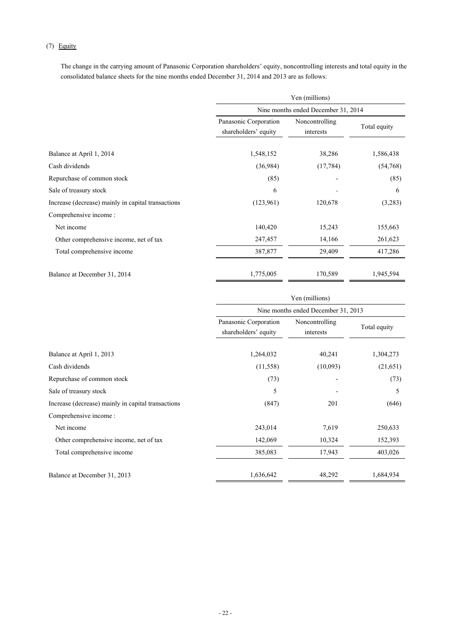# (7) Equity

The change in the carrying amount of Panasonic Corporation shareholders' equity, noncontrolling interests and total equity in the consolidated balance sheets for the nine months ended December 31, 2014 and 2013 are as follows:

|                                                    | Yen (millions)                                |                                     |              |  |  |
|----------------------------------------------------|-----------------------------------------------|-------------------------------------|--------------|--|--|
|                                                    |                                               | Nine months ended December 31, 2014 |              |  |  |
|                                                    | Panasonic Corporation<br>shareholders' equity | Noncontrolling<br>interests         | Total equity |  |  |
| Balance at April 1, 2014                           | 1,548,152                                     | 38,286                              | 1,586,438    |  |  |
| Cash dividends                                     | (36,984)                                      | (17, 784)                           | (54,768)     |  |  |
| Repurchase of common stock                         | (85)                                          |                                     | (85)         |  |  |
| Sale of treasury stock                             | 6                                             |                                     | 6            |  |  |
| Increase (decrease) mainly in capital transactions | (123,961)                                     | 120,678                             | (3,283)      |  |  |
| Comprehensive income:                              |                                               |                                     |              |  |  |
| Net income                                         | 140,420                                       | 15,243                              | 155,663      |  |  |
| Other comprehensive income, net of tax             | 247,457                                       | 14,166                              | 261,623      |  |  |
| Total comprehensive income                         | 387,877                                       | 29,409                              | 417,286      |  |  |
| Balance at December 31, 2014                       | 1,775,005                                     | 170,589                             | 1,945,594    |  |  |

|                                                    | Yen (millions)                                |                             |              |  |
|----------------------------------------------------|-----------------------------------------------|-----------------------------|--------------|--|
|                                                    | Nine months ended December 31, 2013           |                             |              |  |
|                                                    | Panasonic Corporation<br>shareholders' equity | Noncontrolling<br>interests | Total equity |  |
| Balance at April 1, 2013                           | 1,264,032                                     | 40,241                      | 1,304,273    |  |
| Cash dividends                                     | (11, 558)                                     | (10,093)                    | (21,651)     |  |
| Repurchase of common stock                         | (73)                                          |                             | (73)         |  |
| Sale of treasury stock                             | 5                                             |                             | 5            |  |
| Increase (decrease) mainly in capital transactions | (847)                                         | 201                         | (646)        |  |
| Comprehensive income :                             |                                               |                             |              |  |
| Net income                                         | 243,014                                       | 7,619                       | 250,633      |  |
| Other comprehensive income, net of tax             | 142,069                                       | 10,324                      | 152,393      |  |
| Total comprehensive income                         | 385,083                                       | 17,943                      | 403,026      |  |
| Balance at December 31, 2013                       | 1,636,642                                     | 48,292                      | 1,684,934    |  |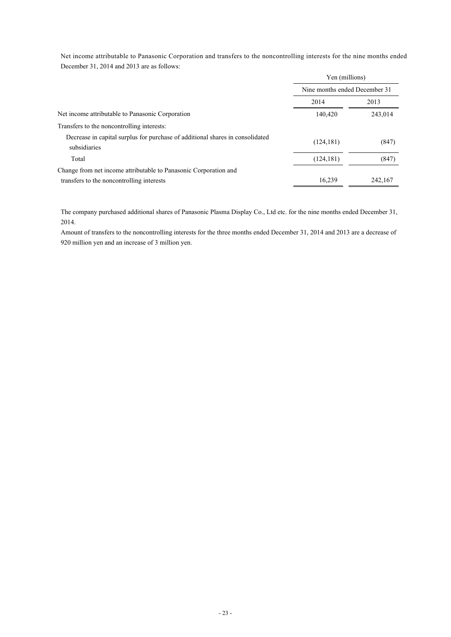Net income attributable to Panasonic Corporation and transfers to the noncontrolling interests for the nine months ended December 31, 2014 and 2013 are as follows:

|                                                                                               | Yen (millions)                |         |  |
|-----------------------------------------------------------------------------------------------|-------------------------------|---------|--|
|                                                                                               | Nine months ended December 31 |         |  |
|                                                                                               | 2014                          | 2013    |  |
| Net income attributable to Panasonic Corporation                                              | 140,420                       | 243,014 |  |
| Transfers to the noncontrolling interests:                                                    |                               |         |  |
| Decrease in capital surplus for purchase of additional shares in consolidated<br>subsidiaries | (124, 181)                    | (847)   |  |
| Total                                                                                         | (124, 181)                    | (847)   |  |
| Change from net income attributable to Panasonic Corporation and                              |                               |         |  |
| transfers to the noncontrolling interests                                                     | 16,239                        | 242,167 |  |

The company purchased additional shares of Panasonic Plasma Display Co., Ltd etc. for the nine months ended December 31, 2014.

Amount of transfers to the noncontrolling interests for the three months ended December 31, 2014 and 2013 are a decrease of 920 million yen and an increase of 3 million yen.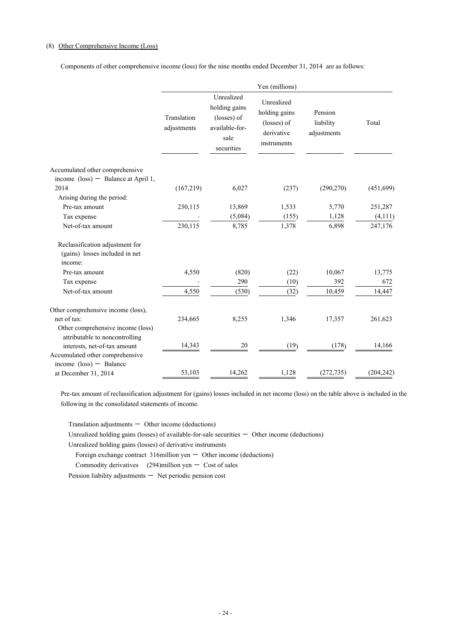# (8) Other Comprehensive Income (Loss)

Components of other comprehensive income (loss) for the nine months ended December 31, 2014 are as follows:

|                                                                     |                            |                                                                                    | Yen (millions)                                                          |                                     |            |
|---------------------------------------------------------------------|----------------------------|------------------------------------------------------------------------------------|-------------------------------------------------------------------------|-------------------------------------|------------|
|                                                                     | Translation<br>adjustments | Unrealized<br>holding gains<br>(losses) of<br>available-for-<br>sale<br>securities | Unrealized<br>holding gains<br>(losses) of<br>derivative<br>instruments | Pension<br>liability<br>adjustments | Total      |
| Accumulated other comprehensive                                     |                            |                                                                                    |                                                                         |                                     |            |
| income $(\text{loss})$ - Balance at April 1,                        |                            |                                                                                    |                                                                         |                                     |            |
| 2014                                                                | (167,219)                  | 6,027                                                                              | (237)                                                                   | (290, 270)                          | (451,699)  |
| Arising during the period:                                          |                            |                                                                                    |                                                                         |                                     |            |
| Pre-tax amount                                                      | 230,115                    | 13,869                                                                             | 1,533                                                                   | 5,770                               | 251,287    |
| Tax expense                                                         |                            | (5,084)                                                                            | (155)                                                                   | 1,128                               | (4, 111)   |
| Net-of-tax amount                                                   | 230,115                    | 8,785                                                                              | 1,378                                                                   | 6,898                               | 247,176    |
| Reclassification adjustment for                                     |                            |                                                                                    |                                                                         |                                     |            |
| (gains) losses included in net<br>income:                           |                            |                                                                                    |                                                                         |                                     |            |
| Pre-tax amount                                                      | 4,550                      | (820)                                                                              | (22)                                                                    | 10,067                              | 13,775     |
| Tax expense                                                         |                            | 290                                                                                | (10)                                                                    | 392                                 | 672        |
| Net-of-tax amount                                                   | 4,550                      | (530)                                                                              | (32)                                                                    | 10,459                              | 14,447     |
| Other comprehensive income (loss),                                  |                            |                                                                                    |                                                                         |                                     |            |
| net of tax:                                                         | 234,665                    | 8,255                                                                              | 1,346                                                                   | 17,357                              | 261,623    |
| Other comprehensive income (loss)<br>attributable to noncontrolling |                            |                                                                                    |                                                                         |                                     |            |
| interests, net-of-tax amount                                        | 14,343                     | 20                                                                                 | (19)                                                                    | (178)                               | 14,166     |
| Accumulated other comprehensive                                     |                            |                                                                                    |                                                                         |                                     |            |
| income $(\text{loss})$ - Balance                                    |                            |                                                                                    |                                                                         |                                     |            |
| at December 31, 2014                                                | 53,103                     | 14,262                                                                             | 1,128                                                                   | (272, 735)                          | (204, 242) |

Pre-tax amount of reclassification adjustment for (gains) losses included in net income (loss) on the table above is included in the following in the consolidated statements of income.

 $Translation$  adjustments  $-$  Other income (deductions)

Unrealized holding gains (losses) of available-for-sale securities  $-$  Other income (deductions)

Unrealized holding gains (losses) of derivative instruments

Foreign exchange contract  $316$ million yen  $-$  Other income (deductions)

Commodity derivatives  $(294)$ million yen - Cost of sales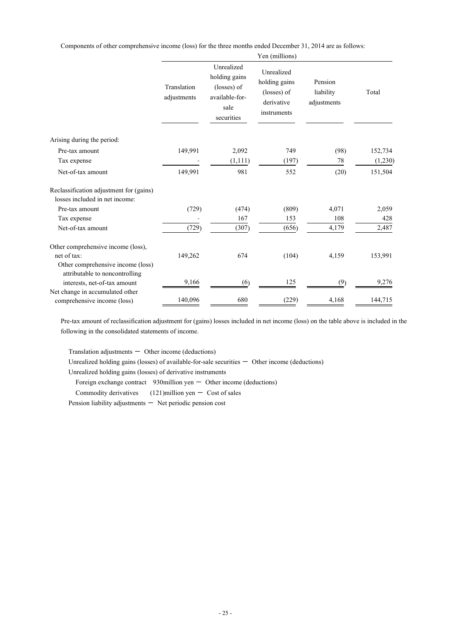Components of other comprehensive income (loss) for the three months ended December 31, 2014 are as follows:

|                                                                                        |                            |                                                                                    | Yen (millions)                                                          |                                     |         |
|----------------------------------------------------------------------------------------|----------------------------|------------------------------------------------------------------------------------|-------------------------------------------------------------------------|-------------------------------------|---------|
|                                                                                        | Translation<br>adjustments | Unrealized<br>holding gains<br>(losses) of<br>available-for-<br>sale<br>securities | Unrealized<br>holding gains<br>(losses) of<br>derivative<br>instruments | Pension<br>liability<br>adjustments | Total   |
| Arising during the period:                                                             |                            |                                                                                    |                                                                         |                                     |         |
| Pre-tax amount                                                                         | 149,991                    | 2,092                                                                              | 749                                                                     | (98)                                | 152,734 |
| Tax expense                                                                            |                            | (1,111)                                                                            | (197)                                                                   | 78                                  | (1,230) |
| Net-of-tax amount                                                                      | 149,991                    | 981                                                                                | 552                                                                     | (20)                                | 151,504 |
| Reclassification adjustment for (gains)<br>losses included in net income:              |                            |                                                                                    |                                                                         |                                     |         |
| Pre-tax amount                                                                         | (729)                      | (474)                                                                              | (809)                                                                   | 4,071                               | 2,059   |
| Tax expense                                                                            |                            | 167                                                                                | 153                                                                     | 108                                 | 428     |
| Net-of-tax amount                                                                      | (729)                      | (307)                                                                              | (656)                                                                   | 4,179                               | 2,487   |
| Other comprehensive income (loss),<br>net of tax:<br>Other comprehensive income (loss) | 149,262                    | 674                                                                                | (104)                                                                   | 4,159                               | 153,991 |
| attributable to noncontrolling<br>interests, net-of-tax amount                         | 9,166                      | (6)                                                                                | 125                                                                     | (9)                                 | 9,276   |
| Net change in accumulated other<br>comprehensive income (loss)                         | 140,096                    | 680                                                                                | (229)                                                                   | 4,168                               | 144,715 |

Pre-tax amount of reclassification adjustment for (gains) losses included in net income (loss) on the table above is included in the following in the consolidated statements of income.

Translation adjustments  $-$  Other income (deductions)

Unrealized holding gains (losses) of available-for-sale securities  $-$  Other income (deductions)

Unrealized holding gains (losses) of derivative instruments

Foreign exchange contract  $930$ million yen  $-$  Other income (deductions)

Commodity derivatives  $(121)$ million yen  $-$  Cost of sales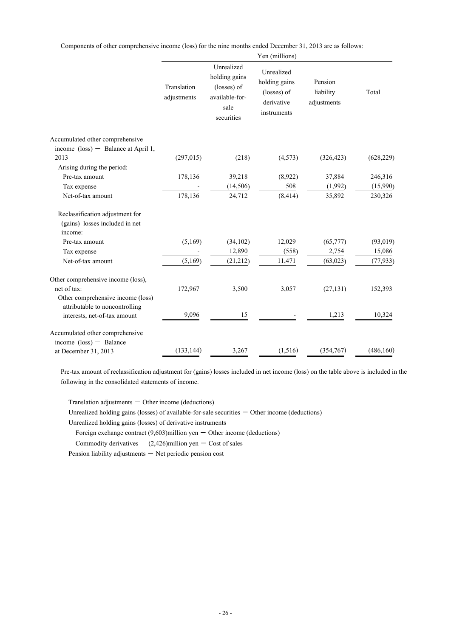Components of other comprehensive income (loss) for the nine months ended December 31, 2013 are as follows:

|                                                                              | Yen (millions)             |                                                                                    |                                                                         |                                     |                     |
|------------------------------------------------------------------------------|----------------------------|------------------------------------------------------------------------------------|-------------------------------------------------------------------------|-------------------------------------|---------------------|
|                                                                              | Translation<br>adjustments | Unrealized<br>holding gains<br>(losses) of<br>available-for-<br>sale<br>securities | Unrealized<br>holding gains<br>(losses) of<br>derivative<br>instruments | Pension<br>liability<br>adjustments | Total               |
| Accumulated other comprehensive                                              |                            |                                                                                    |                                                                         |                                     |                     |
| income $(\text{loss})$ - Balance at April 1,                                 |                            |                                                                                    |                                                                         |                                     |                     |
| 2013                                                                         | (297, 015)                 | (218)                                                                              | (4, 573)                                                                | (326, 423)                          | (628, 229)          |
| Arising during the period:                                                   |                            |                                                                                    |                                                                         |                                     |                     |
| Pre-tax amount                                                               | 178,136                    | 39,218                                                                             | (8,922)                                                                 | 37,884                              | 246,316             |
| Tax expense<br>Net-of-tax amount                                             | 178,136                    | (14, 506)<br>24,712                                                                | 508<br>(8, 414)                                                         | (1,992)<br>35,892                   | (15,990)<br>230,326 |
|                                                                              |                            |                                                                                    |                                                                         |                                     |                     |
| Reclassification adjustment for<br>(gains) losses included in net<br>income: |                            |                                                                                    |                                                                         |                                     |                     |
| Pre-tax amount                                                               | (5,169)                    | (34, 102)                                                                          | 12,029                                                                  | (65, 777)                           | (93, 019)           |
| Tax expense                                                                  |                            | 12,890                                                                             | (558)                                                                   | 2,754                               | 15,086              |
| Net-of-tax amount                                                            | (5,169)                    | (21, 212)                                                                          | 11,471                                                                  | (63, 023)                           | (77, 933)           |
| Other comprehensive income (loss),                                           |                            |                                                                                    |                                                                         |                                     |                     |
| net of tax:                                                                  | 172,967                    | 3,500                                                                              | 3,057                                                                   | (27, 131)                           | 152,393             |
| Other comprehensive income (loss)<br>attributable to noncontrolling          |                            |                                                                                    |                                                                         |                                     |                     |
| interests, net-of-tax amount                                                 | 9,096                      | 15                                                                                 |                                                                         | 1,213                               | 10,324              |
| Accumulated other comprehensive                                              |                            |                                                                                    |                                                                         |                                     |                     |
| income $(\text{loss})$ - Balance                                             |                            |                                                                                    |                                                                         |                                     |                     |
| at December 31, 2013                                                         | (133, 144)                 | 3,267                                                                              | (1,516)                                                                 | (354,767)                           | (486, 160)          |

Pre-tax amount of reclassification adjustment for (gains) losses included in net income (loss) on the table above is included in the following in the consolidated statements of income.

Translation adjustments  $-$  Other income (deductions)

Unrealized holding gains (losses) of available-for-sale securities  $-$  Other income (deductions)

Unrealized holding gains (losses) of derivative instruments

Foreign exchange contract  $(9,603)$ million yen  $-$  Other income (deductions)

Commodity derivatives  $(2,426)$ million yen - Cost of sales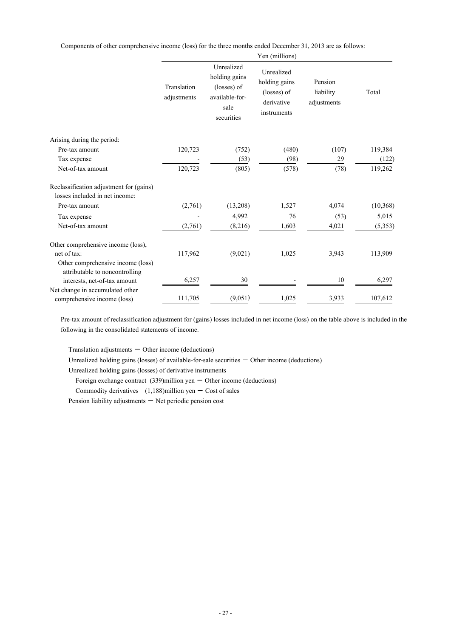Components of other comprehensive income (loss) for the three months ended December 31, 2013 are as follows:

|                                                                           | Yen (millions)             |                                                                                    |                                                                         |                                     |           |
|---------------------------------------------------------------------------|----------------------------|------------------------------------------------------------------------------------|-------------------------------------------------------------------------|-------------------------------------|-----------|
|                                                                           | Translation<br>adjustments | Unrealized<br>holding gains<br>(losses) of<br>available-for-<br>sale<br>securities | Unrealized<br>holding gains<br>(losses) of<br>derivative<br>instruments | Pension<br>liability<br>adjustments | Total     |
| Arising during the period:                                                |                            |                                                                                    |                                                                         |                                     |           |
| Pre-tax amount                                                            | 120,723                    | (752)                                                                              | (480)                                                                   | (107)                               | 119,384   |
| Tax expense                                                               |                            | (53)                                                                               | (98)                                                                    | 29                                  | (122)     |
| Net-of-tax amount                                                         | 120,723                    | (805)                                                                              | (578)                                                                   | (78)                                | 119,262   |
| Reclassification adjustment for (gains)<br>losses included in net income: |                            |                                                                                    |                                                                         |                                     |           |
| Pre-tax amount                                                            | (2,761)                    | (13,208)                                                                           | 1,527                                                                   | 4,074                               | (10, 368) |
| Tax expense                                                               |                            | 4,992                                                                              | 76                                                                      | (53)                                | 5,015     |
| Net-of-tax amount                                                         | (2,761)                    | (8,216)                                                                            | 1,603                                                                   | 4,021                               | (5, 353)  |
| Other comprehensive income (loss),                                        |                            |                                                                                    |                                                                         |                                     |           |
| net of tax:                                                               | 117,962                    | (9,021)                                                                            | 1,025                                                                   | 3,943                               | 113,909   |
| Other comprehensive income (loss)<br>attributable to noncontrolling       |                            |                                                                                    |                                                                         |                                     |           |
| interests, net-of-tax amount                                              | 6,257                      | 30                                                                                 |                                                                         | 10                                  | 6,297     |
| Net change in accumulated other<br>comprehensive income (loss)            | 111,705                    | (9,051)                                                                            | 1,025                                                                   | 3,933                               | 107,612   |

Pre-tax amount of reclassification adjustment for (gains) losses included in net income (loss) on the table above is included in the following in the consolidated statements of income.

Translation adjustments  $-$  Other income (deductions)

Unrealized holding gains (losses) of available-for-sale securities  $-$  Other income (deductions)

Unrealized holding gains (losses) of derivative instruments

Foreign exchange contract  $(339)$ million yen - Other income (deductions)

Commodity derivatives  $(1,188)$ million yen - Cost of sales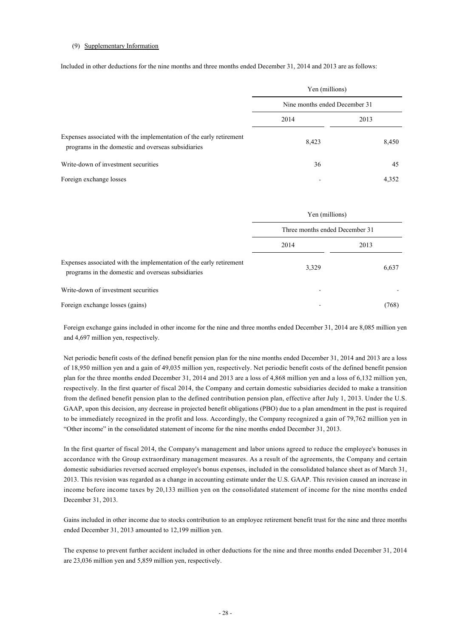### (9) Supplementary Information

Included in other deductions for the nine months and three months ended December 31, 2014 and 2013 are as follows:

|                                                                                                                           | Yen (millions)                |       |  |
|---------------------------------------------------------------------------------------------------------------------------|-------------------------------|-------|--|
|                                                                                                                           | Nine months ended December 31 |       |  |
|                                                                                                                           | 2014                          | 2013  |  |
| Expenses associated with the implementation of the early retirement<br>programs in the domestic and overseas subsidiaries | 8,423                         | 8,450 |  |
| Write-down of investment securities                                                                                       | 36                            | 45    |  |
| Foreign exchange losses                                                                                                   |                               | 4,352 |  |

|                                                                                                                           | Yen (millions)<br>Three months ended December 31 |       |
|---------------------------------------------------------------------------------------------------------------------------|--------------------------------------------------|-------|
|                                                                                                                           |                                                  |       |
|                                                                                                                           | 2014                                             | 2013  |
| Expenses associated with the implementation of the early retirement<br>programs in the domestic and overseas subsidiaries | 3,329                                            | 6,637 |
| Write-down of investment securities                                                                                       |                                                  |       |
| Foreign exchange losses (gains)                                                                                           |                                                  | (768) |

Foreign exchange gains included in other income for the nine and three months ended December 31, 2014 are 8,085 million yen and 4,697 million yen, respectively.

Net periodic benefit costs of the defined benefit pension plan for the nine months ended December 31, 2014 and 2013 are a loss of 18,950 million yen and a gain of 49,035 million yen, respectively. Net periodic benefit costs of the defined benefit pension plan for the three months ended December 31, 2014 and 2013 are a loss of 4,868 million yen and a loss of 6,132 million yen, respectively. In the first quarter of fiscal 2014, the Company and certain domestic subsidiaries decided to make a transition from the defined benefit pension plan to the defined contribution pension plan, effective after July 1, 2013. Under the U.S. GAAP, upon this decision, any decrease in projected benefit obligations (PBO) due to a plan amendment in the past is required to be immediately recognized in the profit and loss. Accordingly, the Company recognized a gain of 79,762 million yen in "Other income" in the consolidated statement of income for the nine months ended December 31, 2013.

In the first quarter of fiscal 2014, the Company's management and labor unions agreed to reduce the employee's bonuses in accordance with the Group extraordinary management measures. As a result of the agreements, the Company and certain domestic subsidiaries reversed accrued employee's bonus expenses, included in the consolidated balance sheet as of March 31, 2013. This revision was regarded as a change in accounting estimate under the U.S. GAAP. This revision caused an increase in income before income taxes by 20,133 million yen on the consolidated statement of income for the nine months ended December 31, 2013.

Gains included in other income due to stocks contribution to an employee retirement benefit trust for the nine and three months ended December 31, 2013 amounted to 12,199 million yen.

The expense to prevent further accident included in other deductions for the nine and three months ended December 31, 2014 are 23,036 million yen and 5,859 million yen, respectively.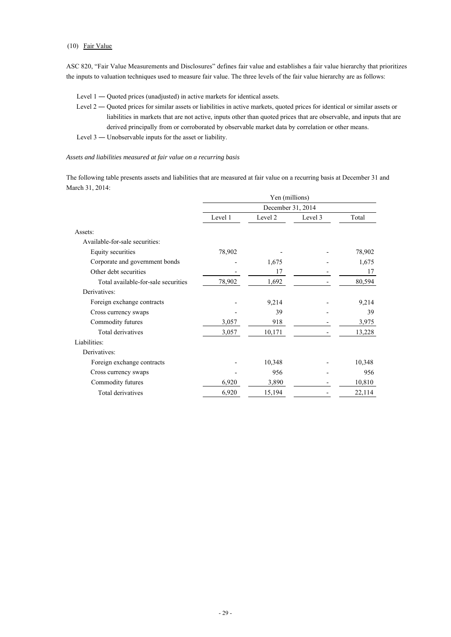# (10) Fair Value

ASC 820, "Fair Value Measurements and Disclosures" defines fair value and establishes a fair value hierarchy that prioritizes the inputs to valuation techniques used to measure fair value. The three levels of the fair value hierarchy are as follows:

- Level 1 Quoted prices (unadjusted) in active markets for identical assets.
- Level 2 Quoted prices for similar assets or liabilities in active markets, quoted prices for identical or similar assets or liabilities in markets that are not active, inputs other than quoted prices that are observable, and inputs that are derived principally from or corroborated by observable market data by correlation or other means.
- Level 3 ― Unobservable inputs for the asset or liability.

### *Assets and liabilities measured at fair value on a recurring basis*

The following table presents assets and liabilities that are measured at fair value on a recurring basis at December 31 and March 31, 2014:

|                                     | Yen (millions)    |         |         |        |
|-------------------------------------|-------------------|---------|---------|--------|
|                                     | December 31, 2014 |         |         |        |
|                                     | Level 1           | Level 2 | Level 3 | Total  |
| Assets:                             |                   |         |         |        |
| Available-for-sale securities:      |                   |         |         |        |
| Equity securities                   | 78,902            |         |         | 78,902 |
| Corporate and government bonds      |                   | 1,675   |         | 1,675  |
| Other debt securities               |                   | 17      |         | 17     |
| Total available-for-sale securities | 78,902            | 1,692   |         | 80,594 |
| Derivatives:                        |                   |         |         |        |
| Foreign exchange contracts          |                   | 9,214   |         | 9,214  |
| Cross currency swaps                |                   | 39      |         | 39     |
| Commodity futures                   | 3,057             | 918     |         | 3,975  |
| Total derivatives                   | 3,057             | 10,171  |         | 13,228 |
| Liabilities:                        |                   |         |         |        |
| Derivatives:                        |                   |         |         |        |
| Foreign exchange contracts          |                   | 10,348  |         | 10,348 |
| Cross currency swaps                |                   | 956     |         | 956    |
| Commodity futures                   | 6,920             | 3,890   |         | 10,810 |
| Total derivatives                   | 6,920             | 15,194  |         | 22,114 |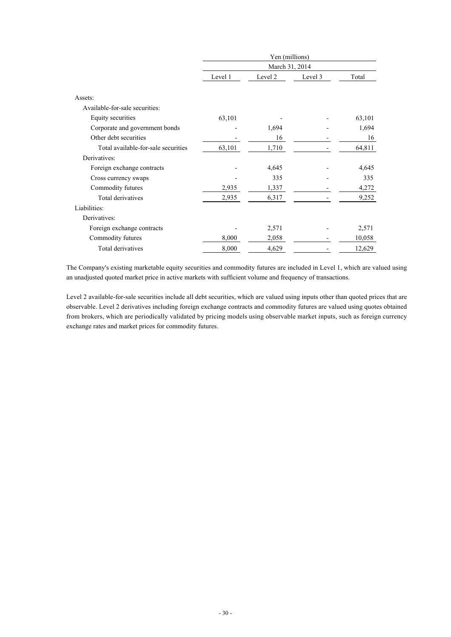|                                     | Yen (millions) |                |         |        |  |
|-------------------------------------|----------------|----------------|---------|--------|--|
|                                     |                | March 31, 2014 |         |        |  |
|                                     | Level 1        | Level 2        | Level 3 | Total  |  |
|                                     |                |                |         |        |  |
| Assets:                             |                |                |         |        |  |
| Available-for-sale securities:      |                |                |         |        |  |
| Equity securities                   | 63,101         |                |         | 63,101 |  |
| Corporate and government bonds      |                | 1,694          |         | 1,694  |  |
| Other debt securities               |                | 16             |         | 16     |  |
| Total available-for-sale securities | 63,101         | 1,710          |         | 64,811 |  |
| Derivatives:                        |                |                |         |        |  |
| Foreign exchange contracts          |                | 4,645          |         | 4,645  |  |
| Cross currency swaps                |                | 335            |         | 335    |  |
| Commodity futures                   | 2,935          | 1,337          |         | 4,272  |  |
| Total derivatives                   | 2,935          | 6,317          |         | 9,252  |  |
| Liabilities:                        |                |                |         |        |  |
| Derivatives:                        |                |                |         |        |  |
| Foreign exchange contracts          |                | 2,571          |         | 2,571  |  |
| Commodity futures                   | 8,000          | 2,058          |         | 10,058 |  |
| Total derivatives                   | 8,000          | 4,629          |         | 12,629 |  |

The Company's existing marketable equity securities and commodity futures are included in Level 1, which are valued using an unadjusted quoted market price in active markets with sufficient volume and frequency of transactions.

Level 2 available-for-sale securities include all debt securities, which are valued using inputs other than quoted prices that are observable. Level 2 derivatives including foreign exchange contracts and commodity futures are valued using quotes obtained from brokers, which are periodically validated by pricing models using observable market inputs, such as foreign currency exchange rates and market prices for commodity futures.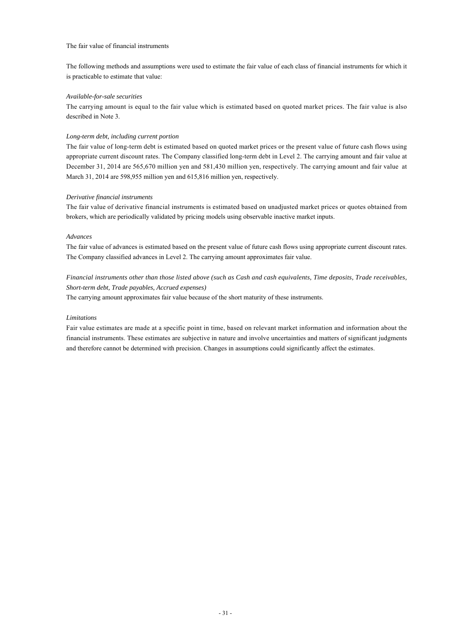### The fair value of financial instruments

The following methods and assumptions were used to estimate the fair value of each class of financial instruments for which it is practicable to estimate that value:

### *Available-for-sale securities*

The carrying amount is equal to the fair value which is estimated based on quoted market prices. The fair value is also described in Note 3.

## *Long-term debt, including current portion*

The fair value of long-term debt is estimated based on quoted market prices or the present value of future cash flows using appropriate current discount rates. The Company classified long-term debt in Level 2. The carrying amount and fair value at December 31, 2014 are 565,670 million yen and 581,430 million yen, respectively. The carrying amount and fair value at March 31, 2014 are 598,955 million yen and 615,816 million yen, respectively.

### *Derivative financial instruments*

The fair value of derivative financial instruments is estimated based on unadjusted market prices or quotes obtained from brokers, which are periodically validated by pricing models using observable inactive market inputs.

### *Advances*

The fair value of advances is estimated based on the present value of future cash flows using appropriate current discount rates. The Company classified advances in Level 2. The carrying amount approximates fair value.

# *Financial instruments other than those listed above (such as Cash and cash equivalents, Time deposits, Trade receivables, Short-term debt, Trade payables, Accrued expenses)*

The carrying amount approximates fair value because of the short maturity of these instruments.

### *Limitations*

Fair value estimates are made at a specific point in time, based on relevant market information and information about the financial instruments. These estimates are subjective in nature and involve uncertainties and matters of significant judgments and therefore cannot be determined with precision. Changes in assumptions could significantly affect the estimates.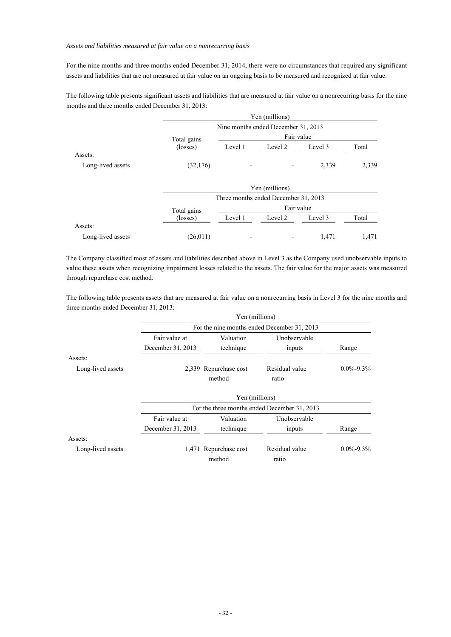### *Assets and liabilities measured at fair value on a nonrecurring basis*

For the nine months and three months ended December 31, 2014, there were no circumstances that required any significant assets and liabilities that are not measured at fair value on an ongoing basis to be measured and recognized at fair value.

The following table presents significant assets and liabilities that are measured at fair value on a nonrecurring basis for the nine months and three months ended December 31, 2013:

|                   |                   |                          | Yen (millions)                       |            |       |
|-------------------|-------------------|--------------------------|--------------------------------------|------------|-------|
|                   |                   |                          | Nine months ended December 31, 2013  |            |       |
|                   | Total gains       |                          | Fair value                           |            |       |
|                   | (losses)          | Level 1                  | Level 2                              | Level 3    | Total |
| Assets:           |                   |                          |                                      |            |       |
| Long-lived assets | (32, 176)         | $\overline{\phantom{a}}$ |                                      | 2,339      | 2,339 |
|                   |                   |                          |                                      |            |       |
|                   |                   |                          | Yen (millions)                       |            |       |
|                   |                   |                          | Three months ended December 31, 2013 |            |       |
|                   | Total gains       |                          |                                      | Fair value |       |
|                   | $(\text{losses})$ | Level 1                  | Level 2                              | Level 3    | Total |
| Assets:           |                   |                          |                                      |            |       |
| Long-lived assets | (26, 011)         |                          |                                      | 1,471      | 1,471 |

The Company classified most of assets and liabilities described above in Level 3 as the Company used unobservable inputs to value these assets when recognizing impairment losses related to the assets. The fair value for the major assets was measured through repurchase cost method.

The following table presents assets that are measured at fair value on a nonrecurring basis in Level 3 for the nine months and three months ended December 31, 2013:

|                   |                   | Yen (millions)                  |                                              |                 |
|-------------------|-------------------|---------------------------------|----------------------------------------------|-----------------|
|                   |                   |                                 | For the nine months ended December 31, 2013  |                 |
|                   | Fair value at     | Valuation                       | Unobservable                                 |                 |
|                   | December 31, 2013 | technique                       | inputs                                       | Range           |
| Assets:           |                   |                                 |                                              |                 |
| Long-lived assets |                   | 2,339 Repurchase cost<br>method | Residual value<br>ratio                      | $0.0\% - 9.3\%$ |
|                   |                   | Yen (millions)                  |                                              |                 |
|                   |                   |                                 | For the three months ended December 31, 2013 |                 |
|                   | Fair value at     | Valuation                       | Unobservable                                 |                 |
|                   | December 31, 2013 | technique                       | inputs                                       | Range           |
| Assets:           |                   |                                 |                                              |                 |
| Long-lived assets |                   | 1,471 Repurchase cost<br>method | Residual value<br>ratio                      | $0.0\% - 9.3\%$ |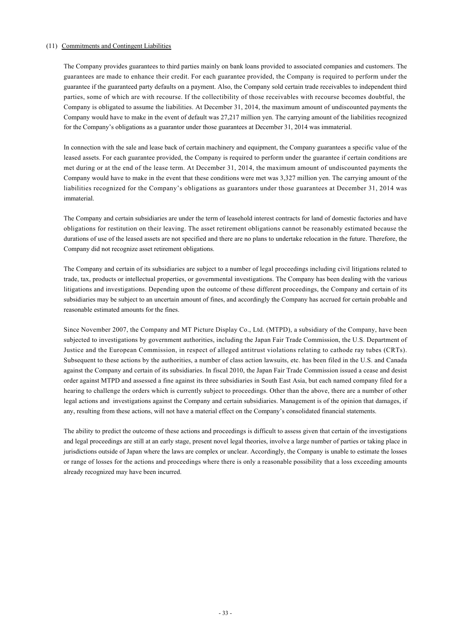# (11) Commitments and Contingent Liabilities

The Company provides guarantees to third parties mainly on bank loans provided to associated companies and customers. The guarantees are made to enhance their credit. For each guarantee provided, the Company is required to perform under the guarantee if the guaranteed party defaults on a payment. Also, the Company sold certain trade receivables to independent third parties, some of which are with recourse. If the collectibility of those receivables with recourse becomes doubtful, the Company is obligated to assume the liabilities. At December 31, 2014, the maximum amount of undiscounted payments the Company would have to make in the event of default was 27,217 million yen. The carrying amount of the liabilities recognized for the Company's obligations as a guarantor under those guarantees at December 31, 2014 was immaterial.

In connection with the sale and lease back of certain machinery and equipment, the Company guarantees a specific value of the leased assets. For each guarantee provided, the Company is required to perform under the guarantee if certain conditions are met during or at the end of the lease term. At December 31, 2014, the maximum amount of undiscounted payments the Company would have to make in the event that these conditions were met was 3,327 million yen. The carrying amount of the liabilities recognized for the Company's obligations as guarantors under those guarantees at December 31, 2014 was immaterial.

The Company and certain subsidiaries are under the term of leasehold interest contracts for land of domestic factories and have obligations for restitution on their leaving. The asset retirement obligations cannot be reasonably estimated because the durations of use of the leased assets are not specified and there are no plans to undertake relocation in the future. Therefore, the Company did not recognize asset retirement obligations.

The Company and certain of its subsidiaries are subject to a number of legal proceedings including civil litigations related to trade, tax, products or intellectual properties, or governmental investigations. The Company has been dealing with the various litigations and investigations. Depending upon the outcome of these different proceedings, the Company and certain of its subsidiaries may be subject to an uncertain amount of fines, and accordingly the Company has accrued for certain probable and reasonable estimated amounts for the fines.

Since November 2007, the Company and MT Picture Display Co., Ltd. (MTPD), a subsidiary of the Company, have been subjected to investigations by government authorities, including the Japan Fair Trade Commission, the U.S. Department of Justice and the European Commission, in respect of alleged antitrust violations relating to cathode ray tubes (CRTs). Subsequent to these actions by the authorities, a number of class action lawsuits, etc. has been filed in the U.S. and Canada against the Company and certain of its subsidiaries. In fiscal 2010, the Japan Fair Trade Commission issued a cease and desist order against MTPD and assessed a fine against its three subsidiaries in South East Asia, but each named company filed for a hearing to challenge the orders which is currently subject to proceedings. Other than the above, there are a number of other legal actions and investigations against the Company and certain subsidiaries. Management is of the opinion that damages, if any, resulting from these actions, will not have a material effect on the Company's consolidated financial statements.

The ability to predict the outcome of these actions and proceedings is difficult to assess given that certain of the investigations and legal proceedings are still at an early stage, present novel legal theories, involve a large number of parties or taking place in jurisdictions outside of Japan where the laws are complex or unclear. Accordingly, the Company is unable to estimate the losses or range of losses for the actions and proceedings where there is only a reasonable possibility that a loss exceeding amounts already recognized may have been incurred.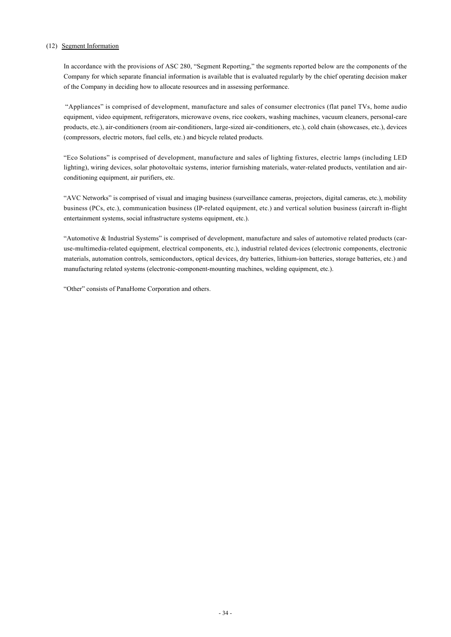# (12) Segment Information

In accordance with the provisions of ASC 280, "Segment Reporting," the segments reported below are the components of the Company for which separate financial information is available that is evaluated regularly by the chief operating decision maker of the Company in deciding how to allocate resources and in assessing performance.

 "Appliances" is comprised of development, manufacture and sales of consumer electronics (flat panel TVs, home audio equipment, video equipment, refrigerators, microwave ovens, rice cookers, washing machines, vacuum cleaners, personal-care products, etc.), air-conditioners (room air-conditioners, large-sized air-conditioners, etc.), cold chain (showcases, etc.), devices (compressors, electric motors, fuel cells, etc.) and bicycle related products.

"Eco Solutions" is comprised of development, manufacture and sales of lighting fixtures, electric lamps (including LED lighting), wiring devices, solar photovoltaic systems, interior furnishing materials, water-related products, ventilation and airconditioning equipment, air purifiers, etc.

"AVC Networks" is comprised of visual and imaging business (surveillance cameras, projectors, digital cameras, etc.), mobility business (PCs, etc.), communication business (IP-related equipment, etc.) and vertical solution business (aircraft in-flight entertainment systems, social infrastructure systems equipment, etc.).

"Automotive & Industrial Systems" is comprised of development, manufacture and sales of automotive related products (caruse-multimedia-related equipment, electrical components, etc.), industrial related devices (electronic components, electronic materials, automation controls, semiconductors, optical devices, dry batteries, lithium-ion batteries, storage batteries, etc.) and manufacturing related systems (electronic-component-mounting machines, welding equipment, etc.).

"Other" consists of PanaHome Corporation and others.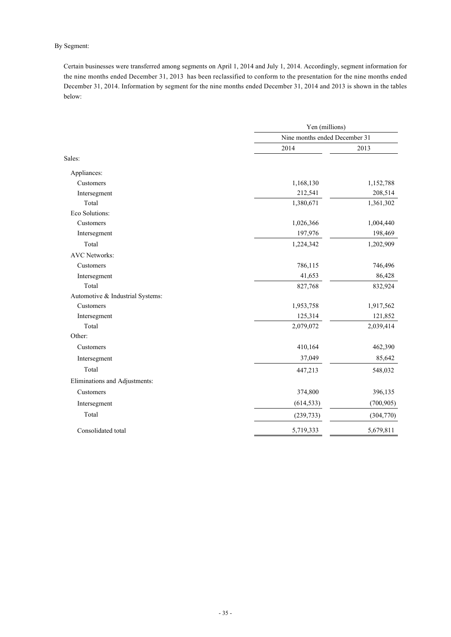# By Segment:

Certain businesses were transferred among segments on April 1, 2014 and July 1, 2014. Accordingly, segment information for the nine months ended December 31, 2013 has been reclassified to conform to the presentation for the nine months ended December 31, 2014. Information by segment for the nine months ended December 31, 2014 and 2013 is shown in the tables below:

|                                  | Yen (millions)                |            |  |
|----------------------------------|-------------------------------|------------|--|
|                                  | Nine months ended December 31 |            |  |
|                                  | 2014                          | 2013       |  |
| Sales:                           |                               |            |  |
| Appliances:                      |                               |            |  |
| Customers                        | 1,168,130                     | 1,152,788  |  |
| Intersegment                     | 212,541                       | 208,514    |  |
| Total                            | 1,380,671                     | 1,361,302  |  |
| Eco Solutions:                   |                               |            |  |
| Customers                        | 1,026,366                     | 1,004,440  |  |
| Intersegment                     | 197,976                       | 198,469    |  |
| Total                            | 1,224,342                     | 1,202,909  |  |
| <b>AVC Networks:</b>             |                               |            |  |
| Customers                        | 786,115                       | 746,496    |  |
| Intersegment                     | 41,653                        | 86,428     |  |
| Total                            | 827,768                       | 832,924    |  |
| Automotive & Industrial Systems: |                               |            |  |
| Customers                        | 1,953,758                     | 1,917,562  |  |
| Intersegment                     | 125,314                       | 121,852    |  |
| Total                            | 2,079,072                     | 2,039,414  |  |
| Other:                           |                               |            |  |
| Customers                        | 410,164                       | 462,390    |  |
| Intersegment                     | 37,049                        | 85,642     |  |
| Total                            | 447,213                       | 548,032    |  |
| Eliminations and Adjustments:    |                               |            |  |
| Customers                        | 374,800                       | 396,135    |  |
| Intersegment                     | (614, 533)                    | (700, 905) |  |
| Total                            | (239, 733)                    | (304,770)  |  |
| Consolidated total               | 5,719,333                     | 5,679,811  |  |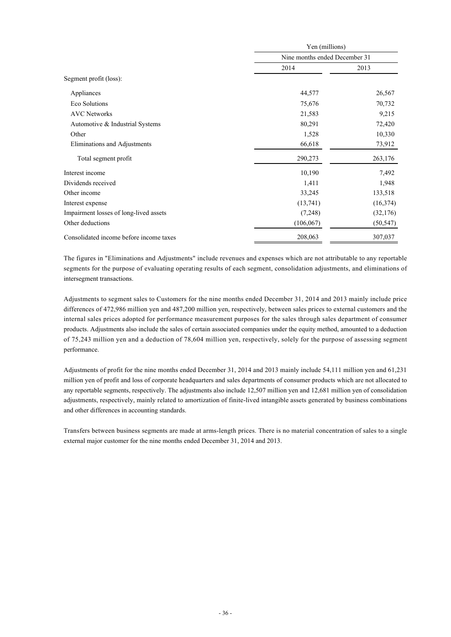|                                         | Yen (millions)                |           |  |
|-----------------------------------------|-------------------------------|-----------|--|
|                                         | Nine months ended December 31 |           |  |
|                                         | 2014                          | 2013      |  |
| Segment profit (loss):                  |                               |           |  |
| Appliances                              | 44,577                        | 26,567    |  |
| Eco Solutions                           | 75,676                        | 70,732    |  |
| <b>AVC</b> Networks                     | 21,583                        | 9,215     |  |
| Automotive & Industrial Systems         | 80,291                        | 72,420    |  |
| Other                                   | 1,528                         | 10,330    |  |
| Eliminations and Adjustments            | 66,618                        | 73,912    |  |
| Total segment profit                    | 290,273                       | 263,176   |  |
| Interest income                         | 10,190                        | 7,492     |  |
| Dividends received                      | 1,411                         | 1,948     |  |
| Other income                            | 33,245                        | 133,518   |  |
| Interest expense                        | (13,741)                      | (16, 374) |  |
| Impairment losses of long-lived assets  | (7,248)                       | (32,176)  |  |
| Other deductions                        | (106, 067)                    | (50, 547) |  |
| Consolidated income before income taxes | 208,063                       | 307,037   |  |

The figures in "Eliminations and Adjustments" include revenues and expenses which are not attributable to any reportable segments for the purpose of evaluating operating results of each segment, consolidation adjustments, and eliminations of intersegment transactions.

Adjustments to segment sales to Customers for the nine months ended December 31, 2014 and 2013 mainly include price differences of 472,986 million yen and 487,200 million yen, respectively, between sales prices to external customers and the internal sales prices adopted for performance measurement purposes for the sales through sales department of consumer products. Adjustments also include the sales of certain associated companies under the equity method, amounted to a deduction of 75,243 million yen and a deduction of 78,604 million yen, respectively, solely for the purpose of assessing segment performance.

Adjustments of profit for the nine months ended December 31, 2014 and 2013 mainly include 54,111 million yen and 61,231 million yen of profit and loss of corporate headquarters and sales departments of consumer products which are not allocated to any reportable segments, respectively. The adjustments also include 12,507 million yen and 12,681 million yen of consolidation adjustments, respectively, mainly related to amortization of finite-lived intangible assets generated by business combinations and other differences in accounting standards.

Transfers between business segments are made at arms-length prices. There is no material concentration of sales to a single external major customer for the nine months ended December 31, 2014 and 2013.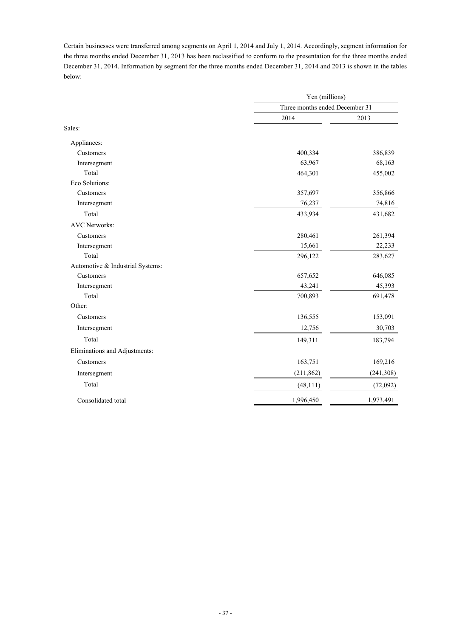Certain businesses were transferred among segments on April 1, 2014 and July 1, 2014. Accordingly, segment information for the three months ended December 31, 2013 has been reclassified to conform to the presentation for the three months ended December 31, 2014. Information by segment for the three months ended December 31, 2014 and 2013 is shown in the tables below:

|                                  | Yen (millions)<br>Three months ended December 31 |            |
|----------------------------------|--------------------------------------------------|------------|
|                                  |                                                  |            |
|                                  | 2014                                             | 2013       |
| Sales:                           |                                                  |            |
| Appliances:                      |                                                  |            |
| Customers                        | 400,334                                          | 386,839    |
| Intersegment                     | 63,967                                           | 68,163     |
| Total                            | 464,301                                          | 455,002    |
| Eco Solutions:                   |                                                  |            |
| Customers                        | 357,697                                          | 356,866    |
| Intersegment                     | 76,237                                           | 74,816     |
| Total                            | 433,934                                          | 431,682    |
| <b>AVC</b> Networks:             |                                                  |            |
| Customers                        | 280,461                                          | 261,394    |
| Intersegment                     | 15,661                                           | 22,233     |
| Total                            | 296,122                                          | 283,627    |
| Automotive & Industrial Systems: |                                                  |            |
| Customers                        | 657,652                                          | 646,085    |
| Intersegment                     | 43,241                                           | 45,393     |
| Total                            | 700,893                                          | 691,478    |
| Other:                           |                                                  |            |
| Customers                        | 136,555                                          | 153,091    |
| Intersegment                     | 12,756                                           | 30,703     |
| Total                            | 149,311                                          | 183,794    |
| Eliminations and Adjustments:    |                                                  |            |
| Customers                        | 163,751                                          | 169,216    |
| Intersegment                     | (211, 862)                                       | (241, 308) |
| Total                            | (48, 111)                                        | (72,092)   |
| Consolidated total               | 1,996,450                                        | 1,973,491  |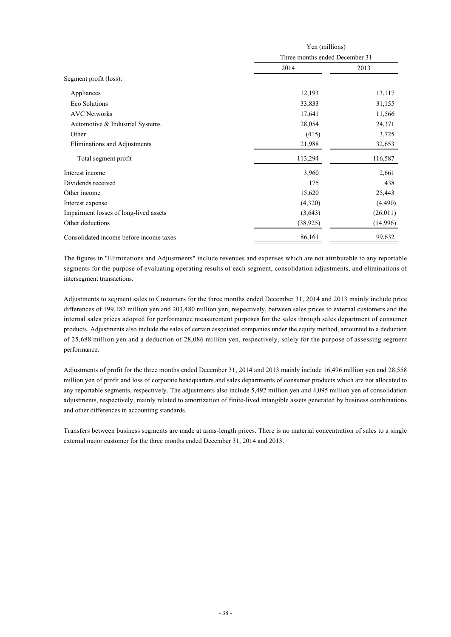|                                         | Yen (millions)                 |          |  |
|-----------------------------------------|--------------------------------|----------|--|
|                                         | Three months ended December 31 |          |  |
|                                         | 2014                           | 2013     |  |
| Segment profit (loss):                  |                                |          |  |
| Appliances                              | 12,193                         | 13,117   |  |
| Eco Solutions                           | 33,833                         | 31,155   |  |
| <b>AVC Networks</b>                     | 17,641                         | 11,566   |  |
| Automotive & Industrial Systems         | 28,054                         | 24,371   |  |
| Other                                   | (415)                          | 3,725    |  |
| Eliminations and Adjustments            | 21,988                         | 32,653   |  |
| Total segment profit                    | 113,294                        | 116,587  |  |
| Interest income                         | 3,960                          | 2,661    |  |
| Dividends received                      | 175                            | 438      |  |
| Other income                            | 15,620                         | 25,443   |  |
| Interest expense                        | (4,320)                        | (4,490)  |  |
| Impairment losses of long-lived assets  | (3,643)                        | (26,011) |  |
| Other deductions                        | (38, 925)                      | (14,996) |  |
| Consolidated income before income taxes | 86,161                         | 99,632   |  |

The figures in "Eliminations and Adjustments" include revenues and expenses which are not attributable to any reportable segments for the purpose of evaluating operating results of each segment, consolidation adjustments, and eliminations of intersegment transactions.

Adjustments to segment sales to Customers for the three months ended December 31, 2014 and 2013 mainly include price differences of 199,182 million yen and 203,480 million yen, respectively, between sales prices to external customers and the internal sales prices adopted for performance measurement purposes for the sales through sales department of consumer products. Adjustments also include the sales of certain associated companies under the equity method, amounted to a deduction of 25,688 million yen and a deduction of 28,086 million yen, respectively, solely for the purpose of assessing segment performance.

Adjustments of profit for the three months ended December 31, 2014 and 2013 mainly include 16,496 million yen and 28,558 million yen of profit and loss of corporate headquarters and sales departments of consumer products which are not allocated to any reportable segments, respectively. The adjustments also include 5,492 million yen and 4,095 million yen of consolidation adjustments, respectively, mainly related to amortization of finite-lived intangible assets generated by business combinations and other differences in accounting standards.

Transfers between business segments are made at arms-length prices. There is no material concentration of sales to a single external major customer for the three months ended December 31, 2014 and 2013.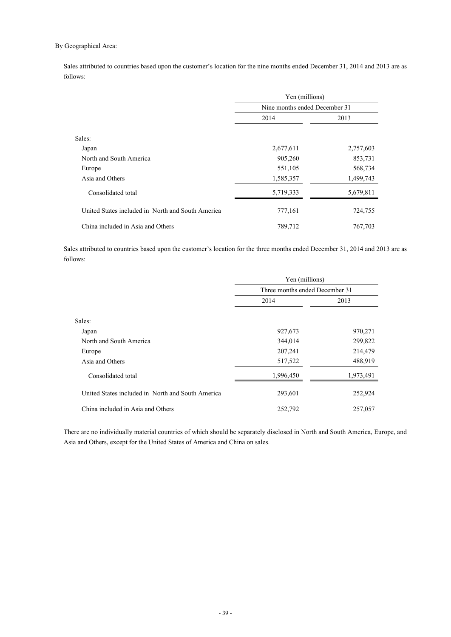# By Geographical Area:

Sales attributed to countries based upon the customer's location for the nine months ended December 31, 2014 and 2013 are as follows:

|                                                   | Yen (millions)<br>Nine months ended December 31 |           |
|---------------------------------------------------|-------------------------------------------------|-----------|
|                                                   |                                                 |           |
|                                                   | 2014                                            | 2013      |
| Sales:                                            |                                                 |           |
| Japan                                             | 2,677,611                                       | 2,757,603 |
| North and South America                           | 905,260                                         | 853,731   |
| Europe                                            | 551,105                                         | 568,734   |
| Asia and Others                                   | 1,585,357                                       | 1,499,743 |
| Consolidated total                                | 5,719,333                                       | 5,679,811 |
| United States included in North and South America | 777,161                                         | 724,755   |
| China included in Asia and Others                 | 789,712                                         | 767,703   |

Sales attributed to countries based upon the customer's location for the three months ended December 31, 2014 and 2013 are as follows:

|                                                   | Yen (millions)                 |           |  |
|---------------------------------------------------|--------------------------------|-----------|--|
|                                                   | Three months ended December 31 |           |  |
|                                                   | 2014                           | 2013      |  |
| Sales:                                            |                                |           |  |
| Japan                                             | 927,673                        | 970,271   |  |
| North and South America                           | 344,014                        | 299,822   |  |
| Europe                                            | 207,241                        | 214,479   |  |
| Asia and Others                                   | 517,522                        | 488,919   |  |
| Consolidated total                                | 1,996,450                      | 1,973,491 |  |
| United States included in North and South America | 293,601                        | 252,924   |  |
| China included in Asia and Others                 | 252,792                        | 257,057   |  |

There are no individually material countries of which should be separately disclosed in North and South America, Europe, and Asia and Others, except for the United States of America and China on sales.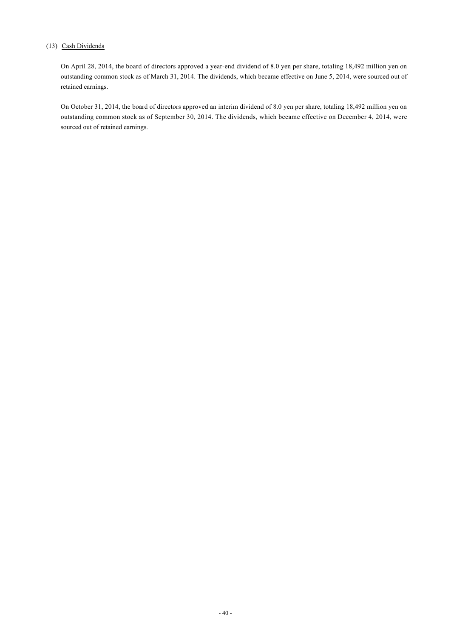# (13) Cash Dividends

On April 28, 2014, the board of directors approved a year-end dividend of 8.0 yen per share, totaling 18,492 million yen on outstanding common stock as of March 31, 2014. The dividends, which became effective on June 5, 2014, were sourced out of retained earnings.

On October 31, 2014, the board of directors approved an interim dividend of 8.0 yen per share, totaling 18,492 million yen on outstanding common stock as of September 30, 2014. The dividends, which became effective on December 4, 2014, were sourced out of retained earnings.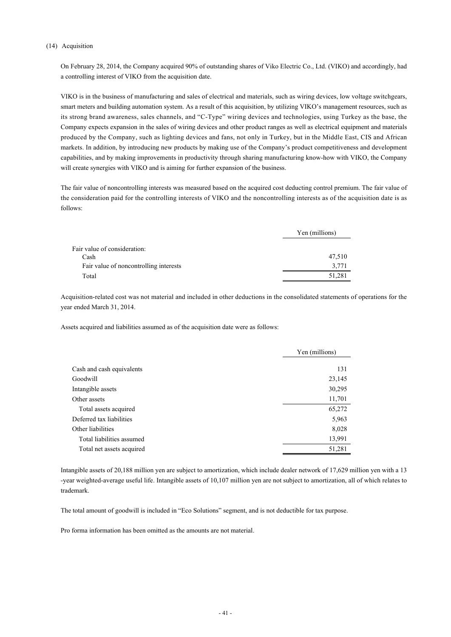### (14) Acquisition

On February 28, 2014, the Company acquired 90% of outstanding shares of Viko Electric Co., Ltd. (VIKO) and accordingly, had a controlling interest of VIKO from the acquisition date.

VIKO is in the business of manufacturing and sales of electrical and materials, such as wiring devices, low voltage switchgears, smart meters and building automation system. As a result of this acquisition, by utilizing VIKO's management resources, such as its strong brand awareness, sales channels, and "C-Type" wiring devices and technologies, using Turkey as the base, the Company expects expansion in the sales of wiring devices and other product ranges as well as electrical equipment and materials produced by the Company, such as lighting devices and fans, not only in Turkey, but in the Middle East, CIS and African markets. In addition, by introducing new products by making use of the Company's product competitiveness and development capabilities, and by making improvements in productivity through sharing manufacturing know-how with VIKO, the Company will create synergies with VIKO and is aiming for further expansion of the business.

The fair value of noncontrolling interests was measured based on the acquired cost deducting control premium. The fair value of the consideration paid for the controlling interests of VIKO and the noncontrolling interests as of the acquisition date is as follows:

|                                        | Yen (millions) |
|----------------------------------------|----------------|
| Fair value of consideration:           |                |
| Cash                                   | 47,510         |
| Fair value of noncontrolling interests | 3,771          |
| Total                                  | 51.281         |

Acquisition-related cost was not material and included in other deductions in the consolidated statements of operations for the year ended March 31, 2014.

Assets acquired and liabilities assumed as of the acquisition date were as follows:

|                           | Yen (millions) |
|---------------------------|----------------|
| Cash and cash equivalents | 131            |
| Goodwill                  | 23,145         |
| Intangible assets         | 30,295         |
| Other assets              | 11,701         |
| Total assets acquired     | 65,272         |
| Deferred tax liabilities  | 5,963          |
| Other liabilities         | 8,028          |
| Total liabilities assumed | 13,991         |
| Total net assets acquired | 51,281         |

Intangible assets of 20,188 million yen are subject to amortization, which include dealer network of 17,629 million yen with a 13 -year weighted-average useful life. Intangible assets of 10,107 million yen are not subject to amortization, all of which relates to trademark.

The total amount of goodwill is included in "Eco Solutions" segment, and is not deductible for tax purpose.

Pro forma information has been omitted as the amounts are not material.